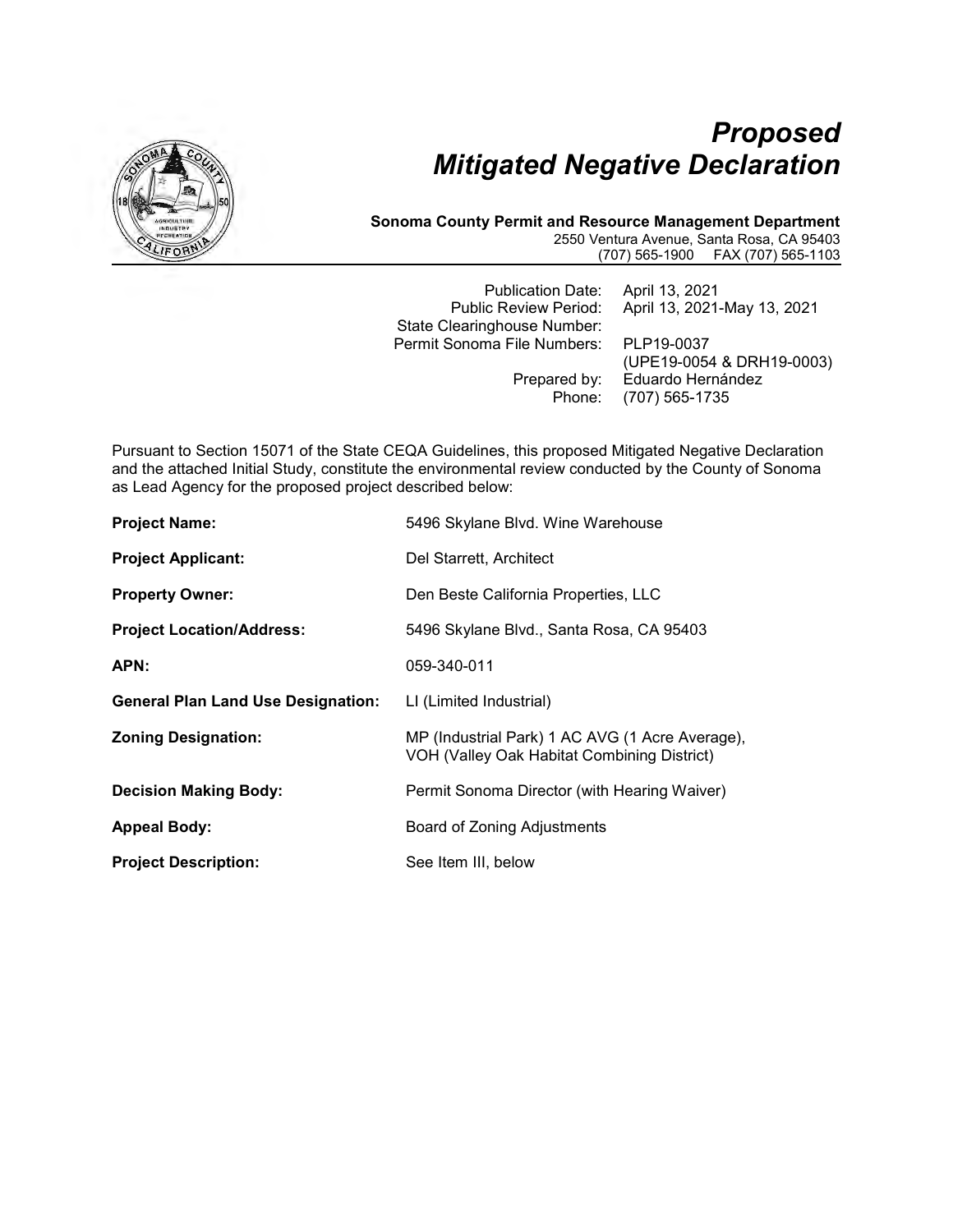

# *Proposed Mitigated Negative Declaration*

#### **Sonoma County Permit and Resource Management Department** 2550 Ventura Avenue, Santa Rosa, CA 95403 (707) 565-1900 FAX (707) 565-1103

Publication Date: April 13, 2021 Public Review Period: April 13, 2021-May 13, 2021 State Clearinghouse Number: Permit Sonoma File Numbers: PLP19-0037 (UPE19-0054 & DRH19-0003)<br>Prepared by: Eduardo Hernández ared by: Eduardo Hernández<br>Phone: (707) 565-1735 Phone: (707) 565-1735

Pursuant to Section 15071 of the State CEQA Guidelines, this proposed Mitigated Negative Declaration and the attached Initial Study, constitute the environmental review conducted by the County of Sonoma as Lead Agency for the proposed project described below:

| <b>Project Name:</b>                      | 5496 Skylane Blvd. Wine Warehouse                                                              |  |
|-------------------------------------------|------------------------------------------------------------------------------------------------|--|
| <b>Project Applicant:</b>                 | Del Starrett, Architect                                                                        |  |
| <b>Property Owner:</b>                    | Den Beste California Properties, LLC                                                           |  |
| <b>Project Location/Address:</b>          | 5496 Skylane Blvd., Santa Rosa, CA 95403                                                       |  |
| APN:                                      | 059-340-011                                                                                    |  |
| <b>General Plan Land Use Designation:</b> | LI (Limited Industrial)                                                                        |  |
| <b>Zoning Designation:</b>                | MP (Industrial Park) 1 AC AVG (1 Acre Average),<br>VOH (Valley Oak Habitat Combining District) |  |
| <b>Decision Making Body:</b>              | Permit Sonoma Director (with Hearing Waiver)                                                   |  |
| <b>Appeal Body:</b>                       | Board of Zoning Adjustments                                                                    |  |
| <b>Project Description:</b>               | See Item III, below                                                                            |  |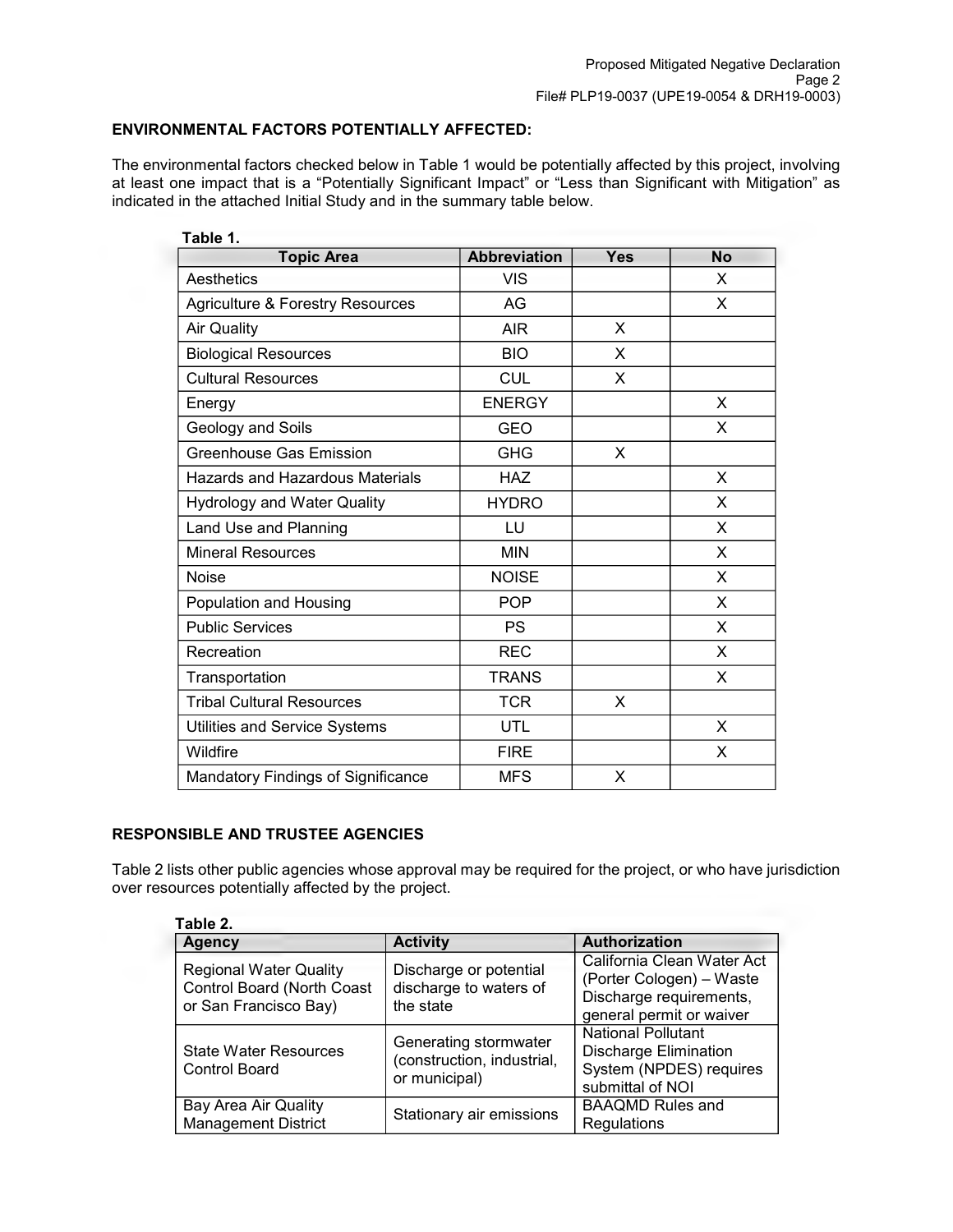## **ENVIRONMENTAL FACTORS POTENTIALLY AFFECTED:**

The environmental factors checked below in Table 1 would be potentially affected by this project, involving at least one impact that is a "Potentially Significant Impact" or "Less than Significant with Mitigation" as indicated in the attached Initial Study and in the summary table below.

| Table 1.                                    |                     |            |           |  |
|---------------------------------------------|---------------------|------------|-----------|--|
| <b>Topic Area</b>                           | <b>Abbreviation</b> | <b>Yes</b> | <b>No</b> |  |
| Aesthetics                                  | <b>VIS</b>          |            | X         |  |
| <b>Agriculture &amp; Forestry Resources</b> | AG                  |            | X         |  |
| <b>Air Quality</b>                          | <b>AIR</b>          | X          |           |  |
| <b>Biological Resources</b>                 | <b>BIO</b>          | X          |           |  |
| <b>Cultural Resources</b>                   | <b>CUL</b>          | X          |           |  |
| Energy                                      | <b>ENERGY</b>       |            | X         |  |
| Geology and Soils                           | <b>GEO</b>          |            | X         |  |
| <b>Greenhouse Gas Emission</b>              | <b>GHG</b>          | X          |           |  |
| Hazards and Hazardous Materials             | <b>HAZ</b>          |            | X         |  |
| <b>Hydrology and Water Quality</b>          | <b>HYDRO</b>        |            | X         |  |
| Land Use and Planning                       | LU                  |            | X         |  |
| <b>Mineral Resources</b>                    | <b>MIN</b>          |            | X         |  |
| <b>Noise</b>                                | <b>NOISE</b>        |            | X         |  |
| Population and Housing                      | <b>POP</b>          |            | X         |  |
| <b>Public Services</b>                      | <b>PS</b>           |            | X         |  |
| Recreation                                  | <b>REC</b>          |            | X         |  |
| Transportation                              | <b>TRANS</b>        |            | X         |  |
| <b>Tribal Cultural Resources</b>            | <b>TCR</b>          | X          |           |  |
| Utilities and Service Systems               | UTL                 |            | X         |  |
| Wildfire                                    | <b>FIRE</b>         |            | X         |  |
| Mandatory Findings of Significance          | <b>MFS</b>          | X          |           |  |

## **RESPONSIBLE AND TRUSTEE AGENCIES**

Table 2 lists other public agencies whose approval may be required for the project, or who have jurisdiction over resources potentially affected by the project.

| Table 2.                                                                             |                                                                      |                                                                                                               |  |  |  |
|--------------------------------------------------------------------------------------|----------------------------------------------------------------------|---------------------------------------------------------------------------------------------------------------|--|--|--|
| <b>Agency</b>                                                                        | <b>Activity</b>                                                      | Authorization                                                                                                 |  |  |  |
| <b>Regional Water Quality</b><br>Control Board (North Coast<br>or San Francisco Bay) | Discharge or potential<br>discharge to waters of<br>the state        | California Clean Water Act<br>(Porter Cologen) - Waste<br>Discharge requirements,<br>general permit or waiver |  |  |  |
| <b>State Water Resources</b><br><b>Control Board</b>                                 | Generating stormwater<br>(construction, industrial,<br>or municipal) | <b>National Pollutant</b><br><b>Discharge Elimination</b><br>System (NPDES) requires<br>submittal of NOI      |  |  |  |
| Bay Area Air Quality<br><b>Management District</b>                                   | Stationary air emissions                                             | <b>BAAQMD Rules and</b><br>Regulations                                                                        |  |  |  |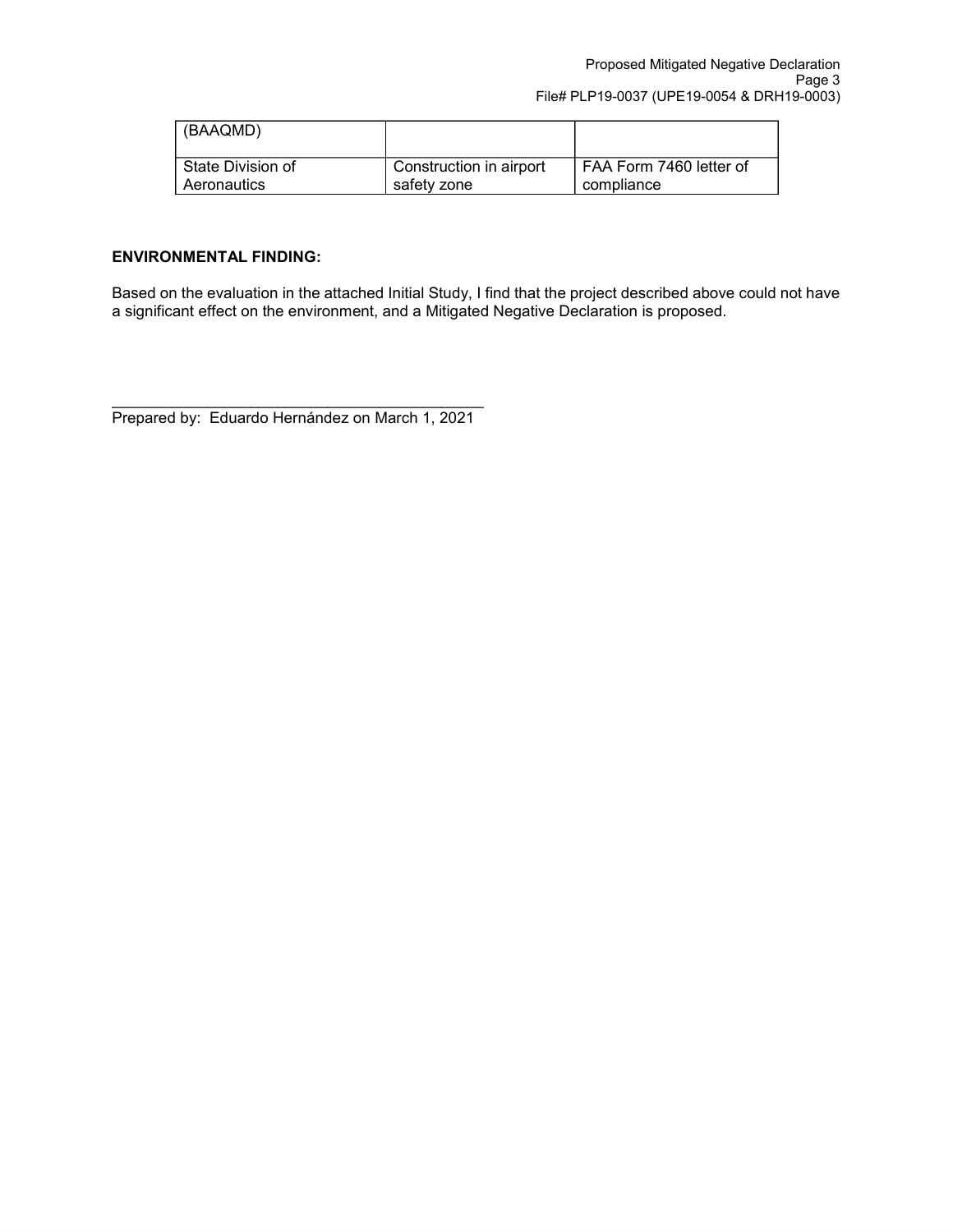| (BAAQMD)          |                         |                         |
|-------------------|-------------------------|-------------------------|
| State Division of | Construction in airport | FAA Form 7460 letter of |
| Aeronautics       | safety zone             | compliance              |

## **ENVIRONMENTAL FINDING:**

Based on the evaluation in the attached Initial Study, I find that the project described above could not have a significant effect on the environment, and a Mitigated Negative Declaration is proposed.

\_\_\_\_\_\_\_\_\_\_\_\_\_\_\_\_\_\_\_\_\_\_\_\_\_\_\_\_\_\_\_\_\_\_\_\_\_\_\_\_\_\_\_ Prepared by: Eduardo Hernández on March 1, 2021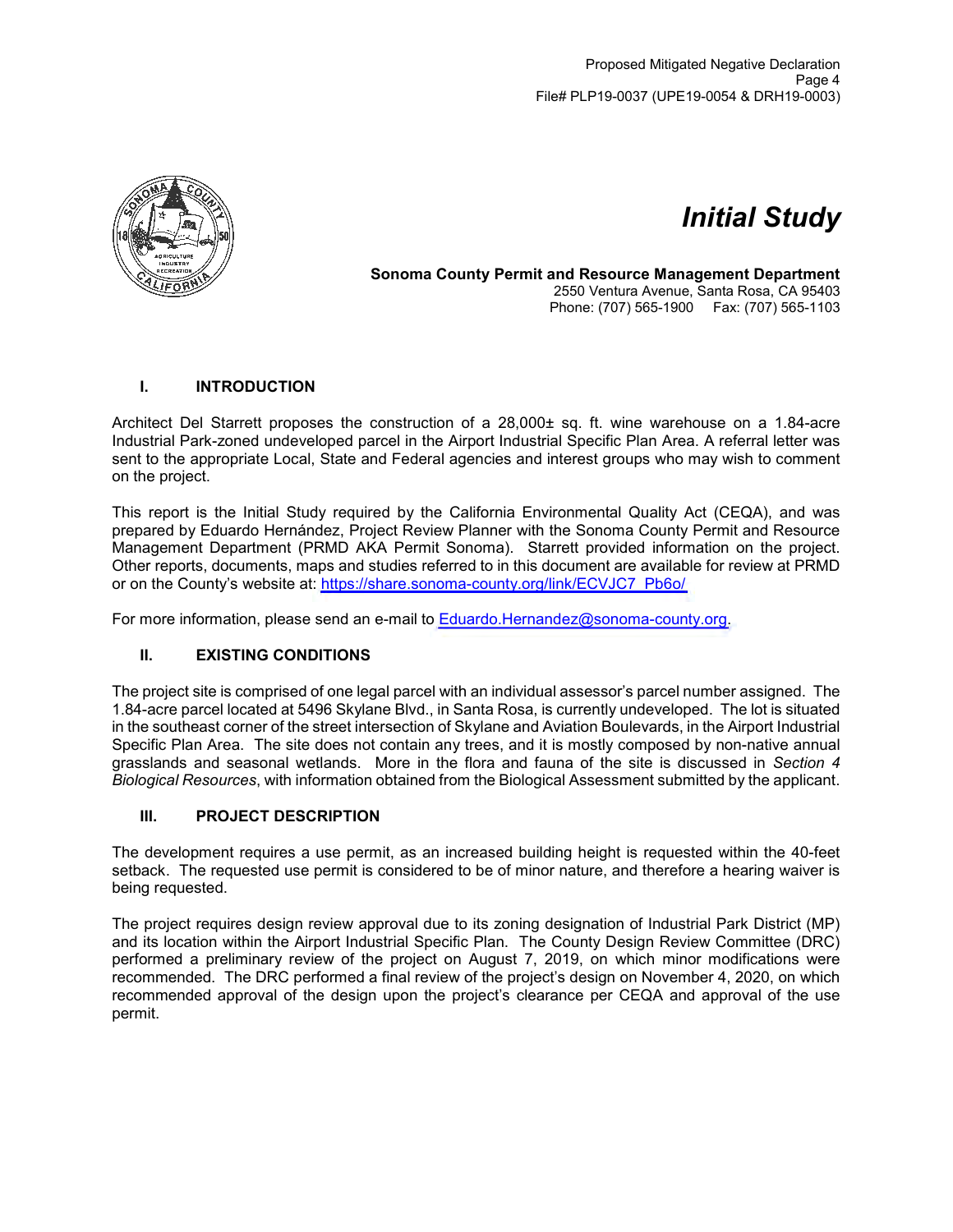

# *Initial Study*

**Sonoma County Permit and Resource Management Department** 2550 Ventura Avenue, Santa Rosa, CA 95403 Phone: (707) 565-1900 Fax: (707) 565-1103

## **I. INTRODUCTION**

Architect Del Starrett proposes the construction of a 28,000± sq. ft. wine warehouse on a 1.84-acre Industrial Park-zoned undeveloped parcel in the Airport Industrial Specific Plan Area. A referral letter was sent to the appropriate Local, State and Federal agencies and interest groups who may wish to comment on the project.

This report is the Initial Study required by the California Environmental Quality Act (CEQA), and was prepared by Eduardo Hernández, Project Review Planner with the Sonoma County Permit and Resource Management Department (PRMD AKA Permit Sonoma). Starrett provided information on the project. Other reports, documents, maps and studies referred to in this document are available for review at PRMD or on the County's website at: [https://share.sonoma-county.org/link/ECVJC7\\_Pb6o/](https://share.sonoma-county.org/link/ECVJC7_Pb6o/)

For more information, please send an e-mail to [Eduardo.Hernandez@sonoma-county.org.](mailto:Eduardo.Hernandez@sonoma-county.org)

## **II. EXISTING CONDITIONS**

The project site is comprised of one legal parcel with an individual assessor's parcel number assigned. The 1.84-acre parcel located at 5496 Skylane Blvd., in Santa Rosa, is currently undeveloped. The lot is situated in the southeast corner of the street intersection of Skylane and Aviation Boulevards, in the Airport Industrial Specific Plan Area. The site does not contain any trees, and it is mostly composed by non-native annual grasslands and seasonal wetlands. More in the flora and fauna of the site is discussed in *Section 4 Biological Resources*, with information obtained from the Biological Assessment submitted by the applicant.

## **III. PROJECT DESCRIPTION**

The development requires a use permit, as an increased building height is requested within the 40-feet setback. The requested use permit is considered to be of minor nature, and therefore a hearing waiver is being requested.

The project requires design review approval due to its zoning designation of Industrial Park District (MP) and its location within the Airport Industrial Specific Plan. The County Design Review Committee (DRC) performed a preliminary review of the project on August 7, 2019, on which minor modifications were recommended. The DRC performed a final review of the project's design on November 4, 2020, on which recommended approval of the design upon the project's clearance per CEQA and approval of the use permit.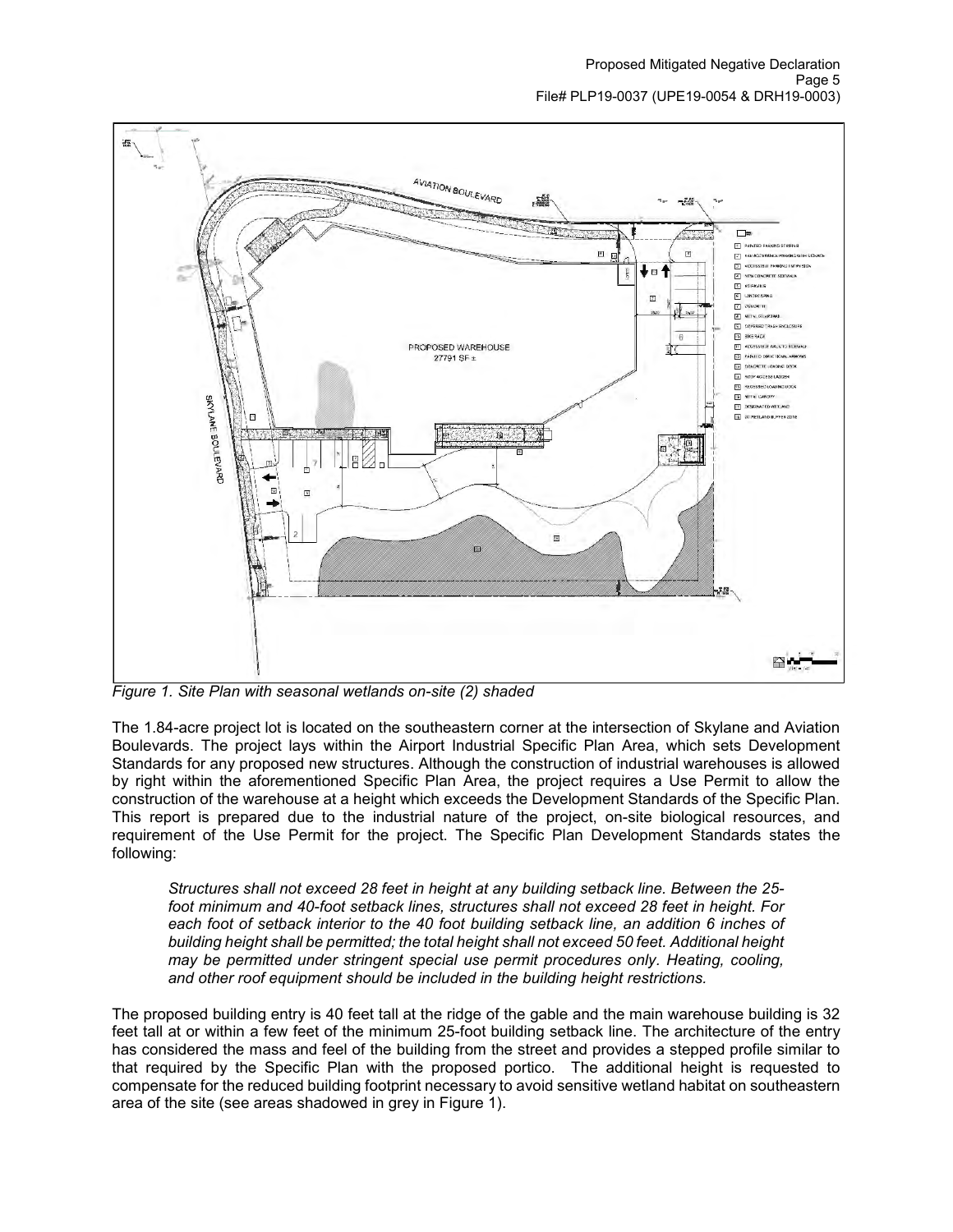

*Figure 1. Site Plan with seasonal wetlands on-site (2) shaded*

The 1.84-acre project lot is located on the southeastern corner at the intersection of Skylane and Aviation Boulevards. The project lays within the Airport Industrial Specific Plan Area, which sets Development Standards for any proposed new structures. Although the construction of industrial warehouses is allowed by right within the aforementioned Specific Plan Area, the project requires a Use Permit to allow the construction of the warehouse at a height which exceeds the Development Standards of the Specific Plan. This report is prepared due to the industrial nature of the project, on-site biological resources, and requirement of the Use Permit for the project. The Specific Plan Development Standards states the following:

*Structures shall not exceed 28 feet in height at any building setback line. Between the 25 foot minimum and 40-foot setback lines, structures shall not exceed 28 feet in height. For each foot of setback interior to the 40 foot building setback line, an addition 6 inches of building height shall be permitted; the total height shall not exceed 50 feet. Additional height may be permitted under stringent special use permit procedures only. Heating, cooling, and other roof equipment should be included in the building height restrictions.*

The proposed building entry is 40 feet tall at the ridge of the gable and the main warehouse building is 32 feet tall at or within a few feet of the minimum 25-foot building setback line. The architecture of the entry has considered the mass and feel of the building from the street and provides a stepped profile similar to that required by the Specific Plan with the proposed portico. The additional height is requested to compensate for the reduced building footprint necessary to avoid sensitive wetland habitat on southeastern area of the site (see areas shadowed in grey in Figure 1).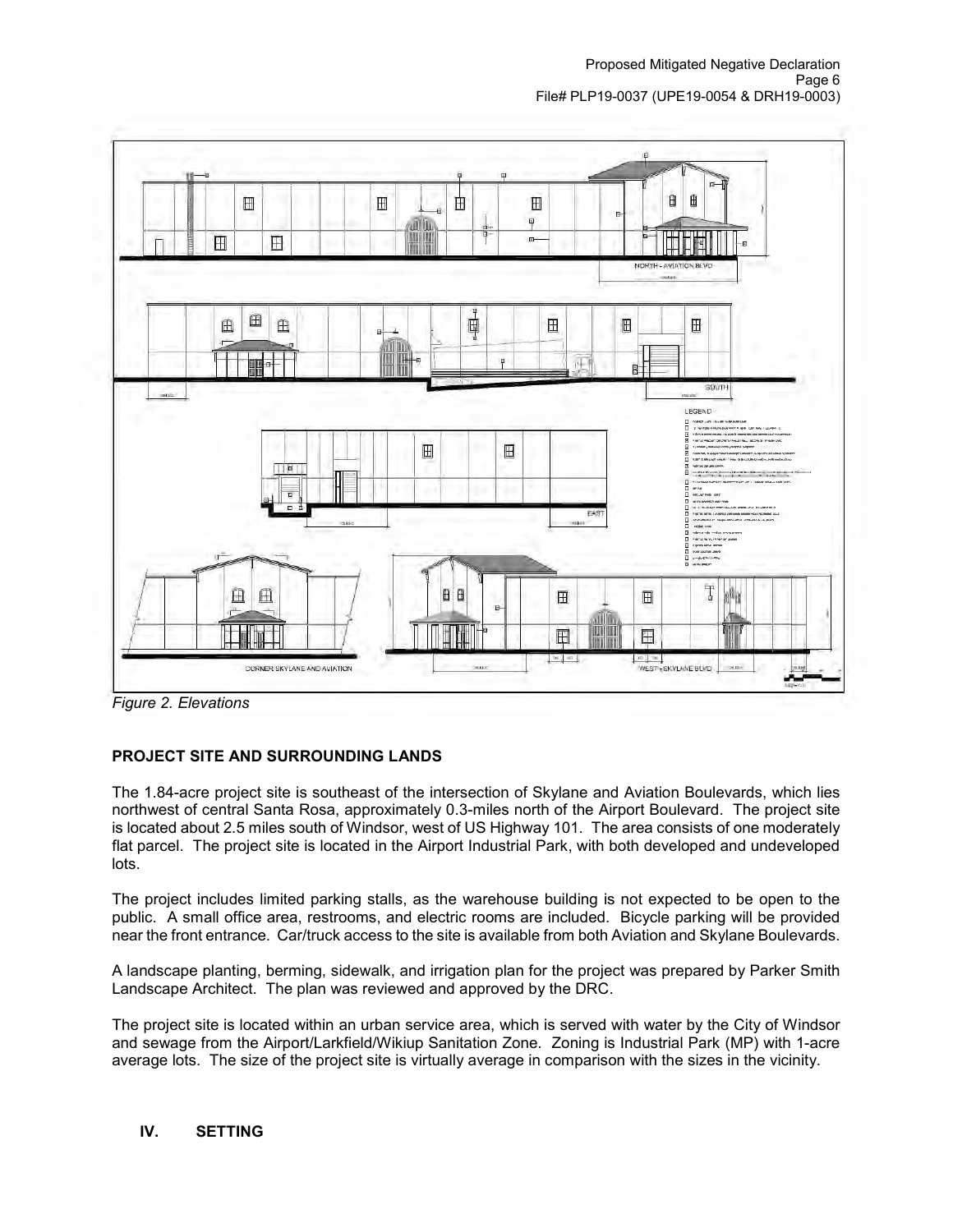

*Figure 2. Elevations*

## **PROJECT SITE AND SURROUNDING LANDS**

The 1.84-acre project site is southeast of the intersection of Skylane and Aviation Boulevards, which lies northwest of central Santa Rosa, approximately 0.3-miles north of the Airport Boulevard. The project site is located about 2.5 miles south of Windsor, west of US Highway 101. The area consists of one moderately flat parcel. The project site is located in the Airport Industrial Park, with both developed and undeveloped lots.

The project includes limited parking stalls, as the warehouse building is not expected to be open to the public. A small office area, restrooms, and electric rooms are included. Bicycle parking will be provided near the front entrance. Car/truck access to the site is available from both Aviation and Skylane Boulevards.

A landscape planting, berming, sidewalk, and irrigation plan for the project was prepared by Parker Smith Landscape Architect. The plan was reviewed and approved by the DRC.

The project site is located within an urban service area, which is served with water by the City of Windsor and sewage from the Airport/Larkfield/Wikiup Sanitation Zone. Zoning is Industrial Park (MP) with 1-acre average lots. The size of the project site is virtually average in comparison with the sizes in the vicinity.

## **IV. SETTING**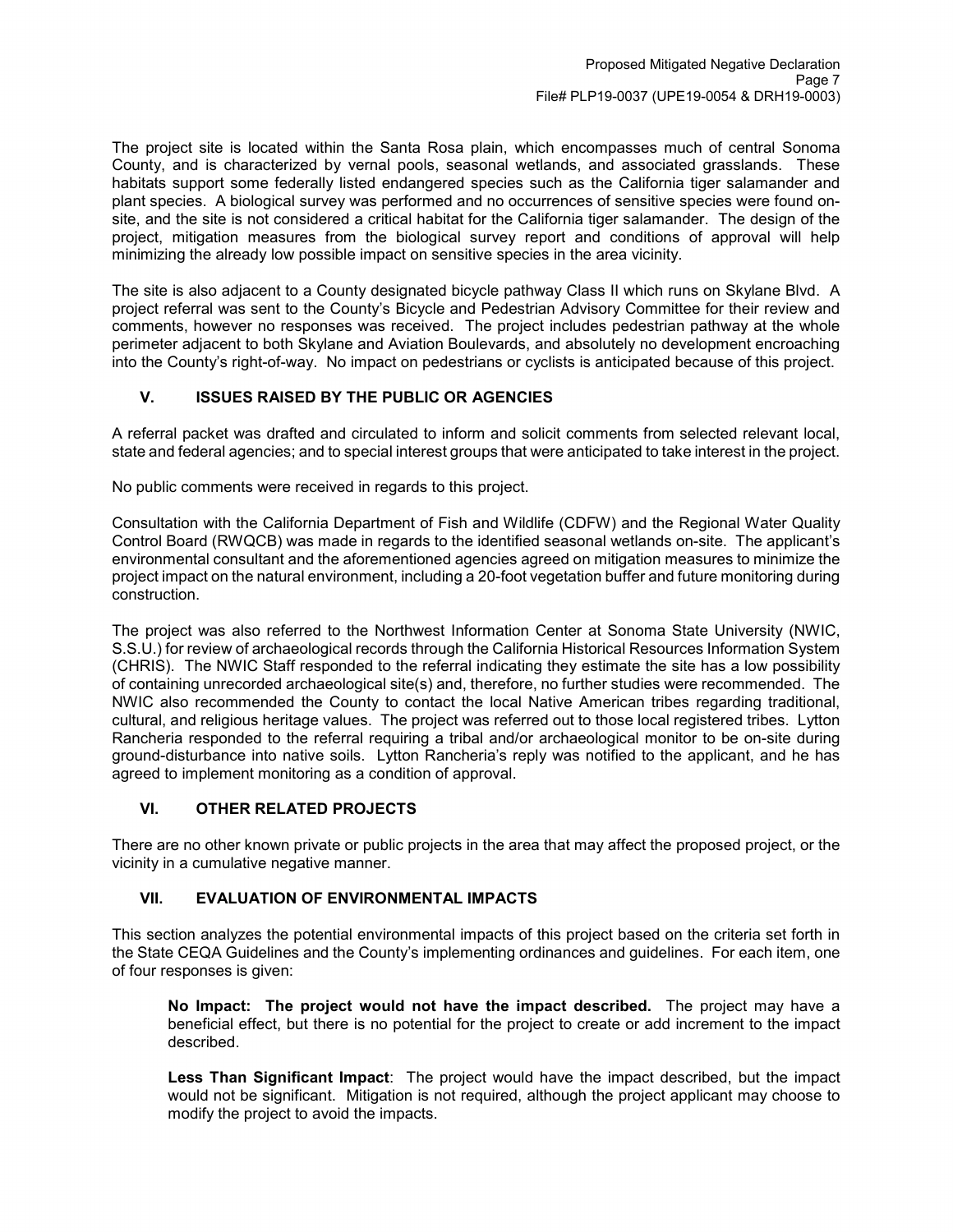The project site is located within the Santa Rosa plain, which encompasses much of central Sonoma County, and is characterized by vernal pools, seasonal wetlands, and associated grasslands. These habitats support some federally listed endangered species such as the California tiger salamander and plant species. A biological survey was performed and no occurrences of sensitive species were found onsite, and the site is not considered a critical habitat for the California tiger salamander. The design of the project, mitigation measures from the biological survey report and conditions of approval will help minimizing the already low possible impact on sensitive species in the area vicinity.

The site is also adjacent to a County designated bicycle pathway Class II which runs on Skylane Blvd. A project referral was sent to the County's Bicycle and Pedestrian Advisory Committee for their review and comments, however no responses was received. The project includes pedestrian pathway at the whole perimeter adjacent to both Skylane and Aviation Boulevards, and absolutely no development encroaching into the County's right-of-way. No impact on pedestrians or cyclists is anticipated because of this project.

## **V. ISSUES RAISED BY THE PUBLIC OR AGENCIES**

A referral packet was drafted and circulated to inform and solicit comments from selected relevant local, state and federal agencies; and to special interest groups that were anticipated to take interest in the project.

No public comments were received in regards to this project.

Consultation with the California Department of Fish and Wildlife (CDFW) and the Regional Water Quality Control Board (RWQCB) was made in regards to the identified seasonal wetlands on-site. The applicant's environmental consultant and the aforementioned agencies agreed on mitigation measures to minimize the project impact on the natural environment, including a 20-foot vegetation buffer and future monitoring during construction.

The project was also referred to the Northwest Information Center at Sonoma State University (NWIC, S.S.U.) for review of archaeological records through the California Historical Resources Information System (CHRIS). The NWIC Staff responded to the referral indicating they estimate the site has a low possibility of containing unrecorded archaeological site(s) and, therefore, no further studies were recommended. The NWIC also recommended the County to contact the local Native American tribes regarding traditional, cultural, and religious heritage values. The project was referred out to those local registered tribes. Lytton Rancheria responded to the referral requiring a tribal and/or archaeological monitor to be on-site during ground-disturbance into native soils. Lytton Rancheria's reply was notified to the applicant, and he has agreed to implement monitoring as a condition of approval.

## **VI. OTHER RELATED PROJECTS**

There are no other known private or public projects in the area that may affect the proposed project, or the vicinity in a cumulative negative manner.

## **VII. EVALUATION OF ENVIRONMENTAL IMPACTS**

This section analyzes the potential environmental impacts of this project based on the criteria set forth in the State CEQA Guidelines and the County's implementing ordinances and guidelines. For each item, one of four responses is given:

**No Impact: The project would not have the impact described.** The project may have a beneficial effect, but there is no potential for the project to create or add increment to the impact described.

**Less Than Significant Impact**: The project would have the impact described, but the impact would not be significant. Mitigation is not required, although the project applicant may choose to modify the project to avoid the impacts.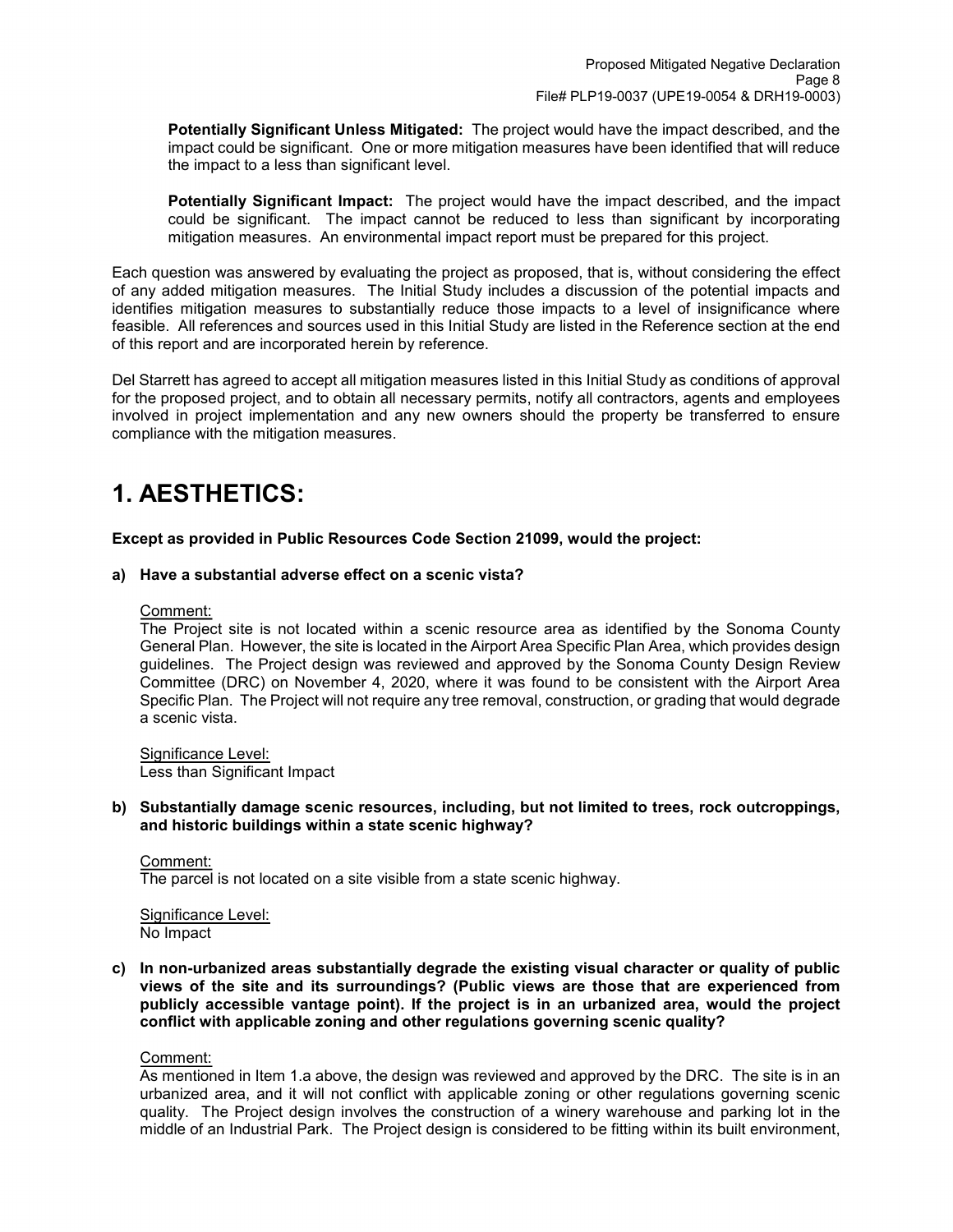**Potentially Significant Unless Mitigated:** The project would have the impact described, and the impact could be significant. One or more mitigation measures have been identified that will reduce the impact to a less than significant level.

**Potentially Significant Impact:** The project would have the impact described, and the impact could be significant. The impact cannot be reduced to less than significant by incorporating mitigation measures. An environmental impact report must be prepared for this project.

Each question was answered by evaluating the project as proposed, that is, without considering the effect of any added mitigation measures. The Initial Study includes a discussion of the potential impacts and identifies mitigation measures to substantially reduce those impacts to a level of insignificance where feasible. All references and sources used in this Initial Study are listed in the Reference section at the end of this report and are incorporated herein by reference.

Del Starrett has agreed to accept all mitigation measures listed in this Initial Study as conditions of approval for the proposed project, and to obtain all necessary permits, notify all contractors, agents and employees involved in project implementation and any new owners should the property be transferred to ensure compliance with the mitigation measures.

## **1. AESTHETICS:**

**Except as provided in Public Resources Code Section 21099, would the project:**

### **a) Have a substantial adverse effect on a scenic vista?**

### Comment:

The Project site is not located within a scenic resource area as identified by the Sonoma County General Plan. However, the site is located in the Airport Area Specific Plan Area, which provides design guidelines. The Project design was reviewed and approved by the Sonoma County Design Review Committee (DRC) on November 4, 2020, where it was found to be consistent with the Airport Area Specific Plan. The Project will not require any tree removal, construction, or grading that would degrade a scenic vista.

Significance Level: Less than Significant Impact

**b) Substantially damage scenic resources, including, but not limited to trees, rock outcroppings, and historic buildings within a state scenic highway?**

## Comment:

The parcel is not located on a site visible from a state scenic highway.

Significance Level: No Impact

**c) In non-urbanized areas substantially degrade the existing visual character or quality of public views of the site and its surroundings? (Public views are those that are experienced from publicly accessible vantage point). If the project is in an urbanized area, would the project conflict with applicable zoning and other regulations governing scenic quality?**

#### Comment:

As mentioned in Item 1.a above, the design was reviewed and approved by the DRC. The site is in an urbanized area, and it will not conflict with applicable zoning or other regulations governing scenic quality. The Project design involves the construction of a winery warehouse and parking lot in the middle of an Industrial Park. The Project design is considered to be fitting within its built environment,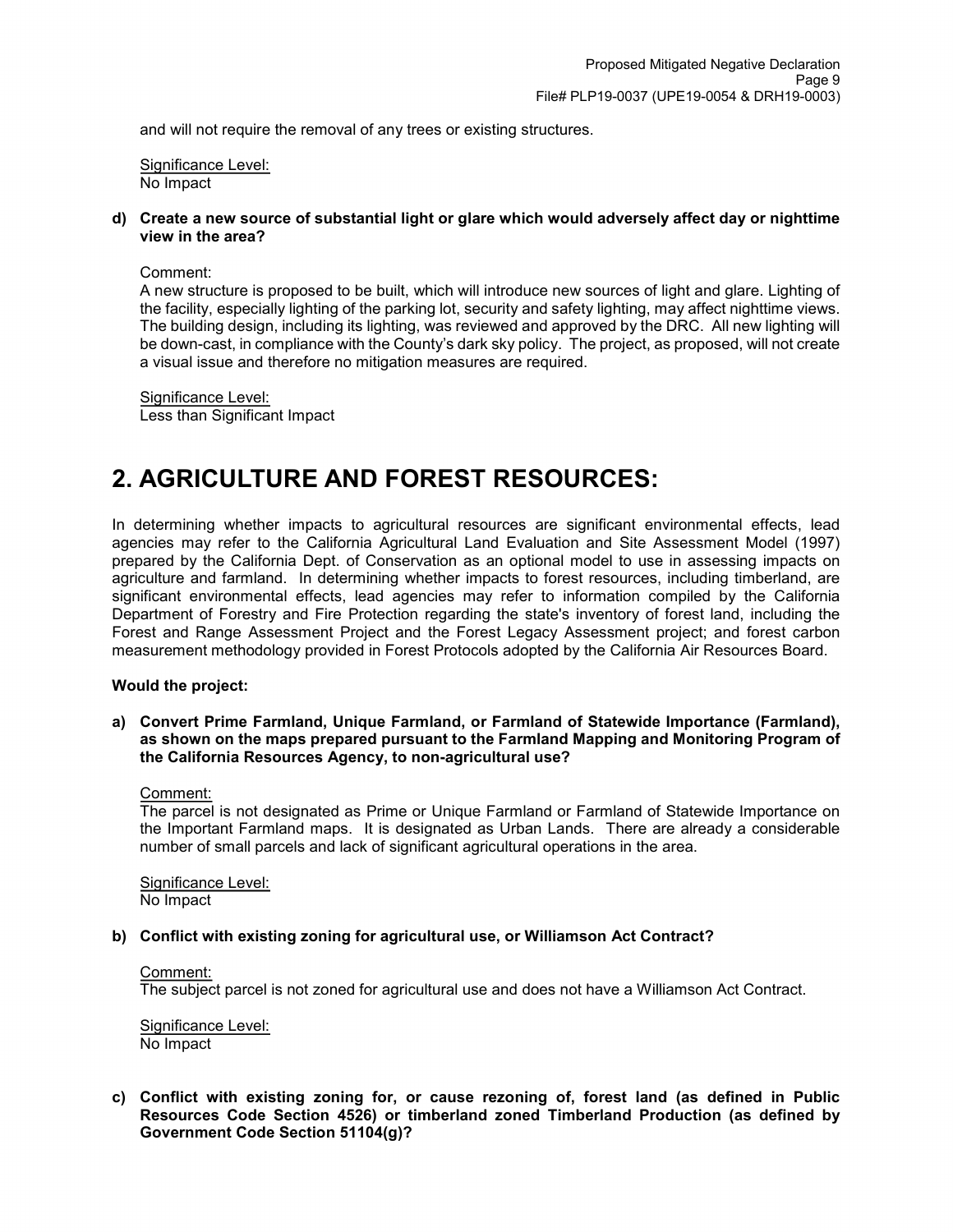and will not require the removal of any trees or existing structures.

Significance Level: No Impact

**d) Create a new source of substantial light or glare which would adversely affect day or nighttime view in the area?**

Comment:

A new structure is proposed to be built, which will introduce new sources of light and glare. Lighting of the facility, especially lighting of the parking lot, security and safety lighting, may affect nighttime views. The building design, including its lighting, was reviewed and approved by the DRC. All new lighting will be down-cast, in compliance with the County's dark sky policy. The project, as proposed, will not create a visual issue and therefore no mitigation measures are required.

Significance Level: Less than Significant Impact

## **2. AGRICULTURE AND FOREST RESOURCES:**

In determining whether impacts to agricultural resources are significant environmental effects, lead agencies may refer to the California Agricultural Land Evaluation and Site Assessment Model (1997) prepared by the California Dept. of Conservation as an optional model to use in assessing impacts on agriculture and farmland. In determining whether impacts to forest resources, including timberland, are significant environmental effects, lead agencies may refer to information compiled by the California Department of Forestry and Fire Protection regarding the state's inventory of forest land, including the Forest and Range Assessment Project and the Forest Legacy Assessment project; and forest carbon measurement methodology provided in Forest Protocols adopted by the California Air Resources Board.

#### **Would the project:**

**a) Convert Prime Farmland, Unique Farmland, or Farmland of Statewide Importance (Farmland), as shown on the maps prepared pursuant to the Farmland Mapping and Monitoring Program of the California Resources Agency, to non-agricultural use?**

#### Comment:

The parcel is not designated as Prime or Unique Farmland or Farmland of Statewide Importance on the Important Farmland maps. It is designated as Urban Lands. There are already a considerable number of small parcels and lack of significant agricultural operations in the area.

Significance Level: No Impact

#### **b) Conflict with existing zoning for agricultural use, or Williamson Act Contract?**

#### Comment:

The subject parcel is not zoned for agricultural use and does not have a Williamson Act Contract.

Significance Level: No Impact

**c) Conflict with existing zoning for, or cause rezoning of, forest land (as defined in Public Resources Code Section 4526) or timberland zoned Timberland Production (as defined by Government Code Section 51104(g)?**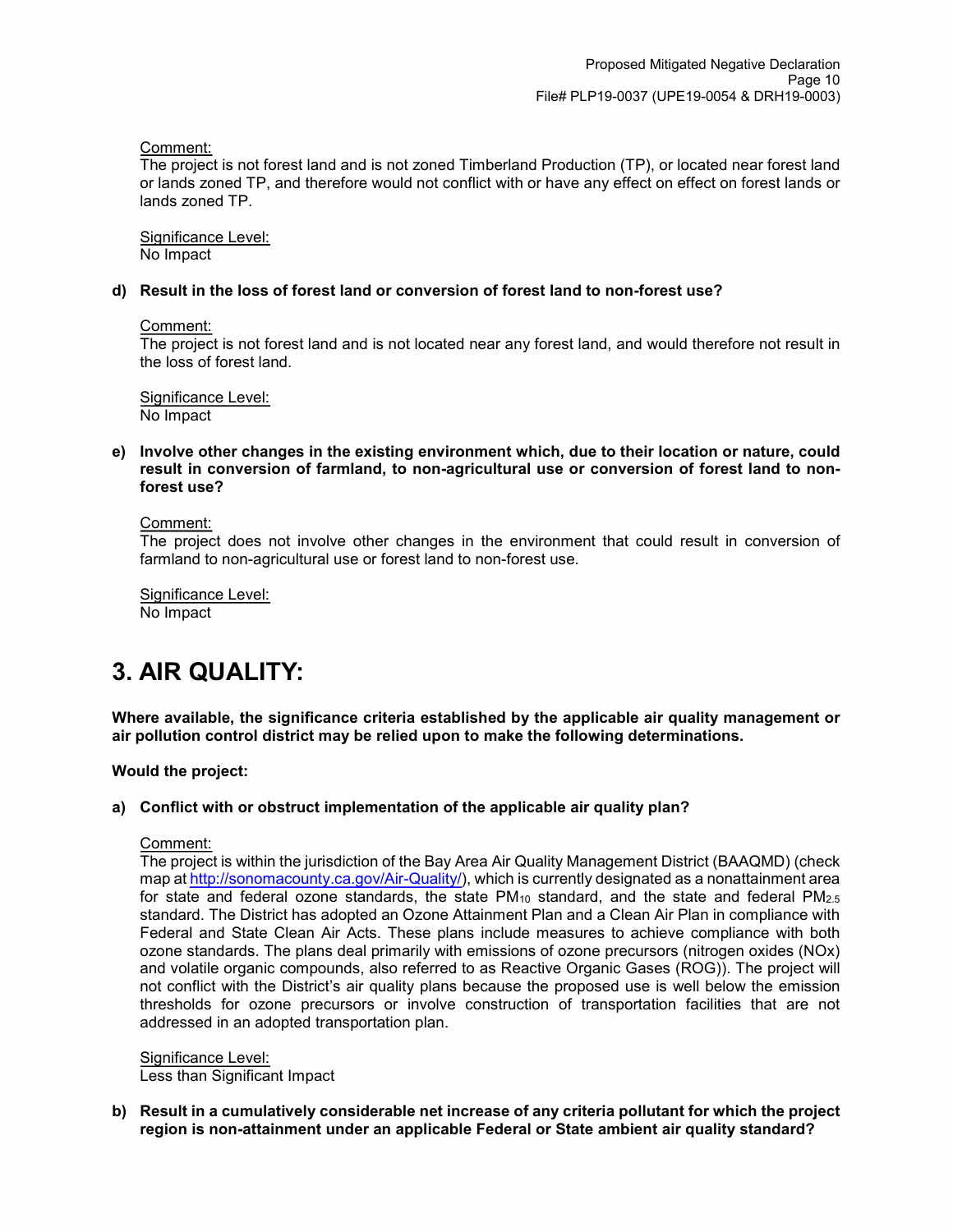Comment:

The project is not forest land and is not zoned Timberland Production (TP), or located near forest land or lands zoned TP, and therefore would not conflict with or have any effect on effect on forest lands or lands zoned TP.

Significance Level: No Impact

### **d) Result in the loss of forest land or conversion of forest land to non-forest use?**

Comment:

The project is not forest land and is not located near any forest land, and would therefore not result in the loss of forest land.

Significance Level: No Impact

**e) Involve other changes in the existing environment which, due to their location or nature, could result in conversion of farmland, to non-agricultural use or conversion of forest land to nonforest use?**

Comment:

The project does not involve other changes in the environment that could result in conversion of farmland to non-agricultural use or forest land to non-forest use.

Significance Level: No Impact

## **3. AIR QUALITY:**

**Where available, the significance criteria established by the applicable air quality management or air pollution control district may be relied upon to make the following determinations.**

**Would the project:**

## **a) Conflict with or obstruct implementation of the applicable air quality plan?**

Comment:

The project is within the jurisdiction of the Bay Area Air Quality Management District (BAAQMD) (check map a[t http://sonomacounty.ca.gov/Air-Quality/\)](http://sonomacounty.ca.gov/Air-Quality/), which is currently designated as a nonattainment area for state and federal ozone standards, the state  $PM_{10}$  standard, and the state and federal  $PM_{2.5}$ standard. The District has adopted an Ozone Attainment Plan and a Clean Air Plan in compliance with Federal and State Clean Air Acts. These plans include measures to achieve compliance with both ozone standards. The plans deal primarily with emissions of ozone precursors (nitrogen oxides (NOx) and volatile organic compounds, also referred to as Reactive Organic Gases (ROG)). The project will not conflict with the District's air quality plans because the proposed use is well below the emission thresholds for ozone precursors or involve construction of transportation facilities that are not addressed in an adopted transportation plan.

Significance Level: Less than Significant Impact

**b) Result in a cumulatively considerable net increase of any criteria pollutant for which the project region is non-attainment under an applicable Federal or State ambient air quality standard?**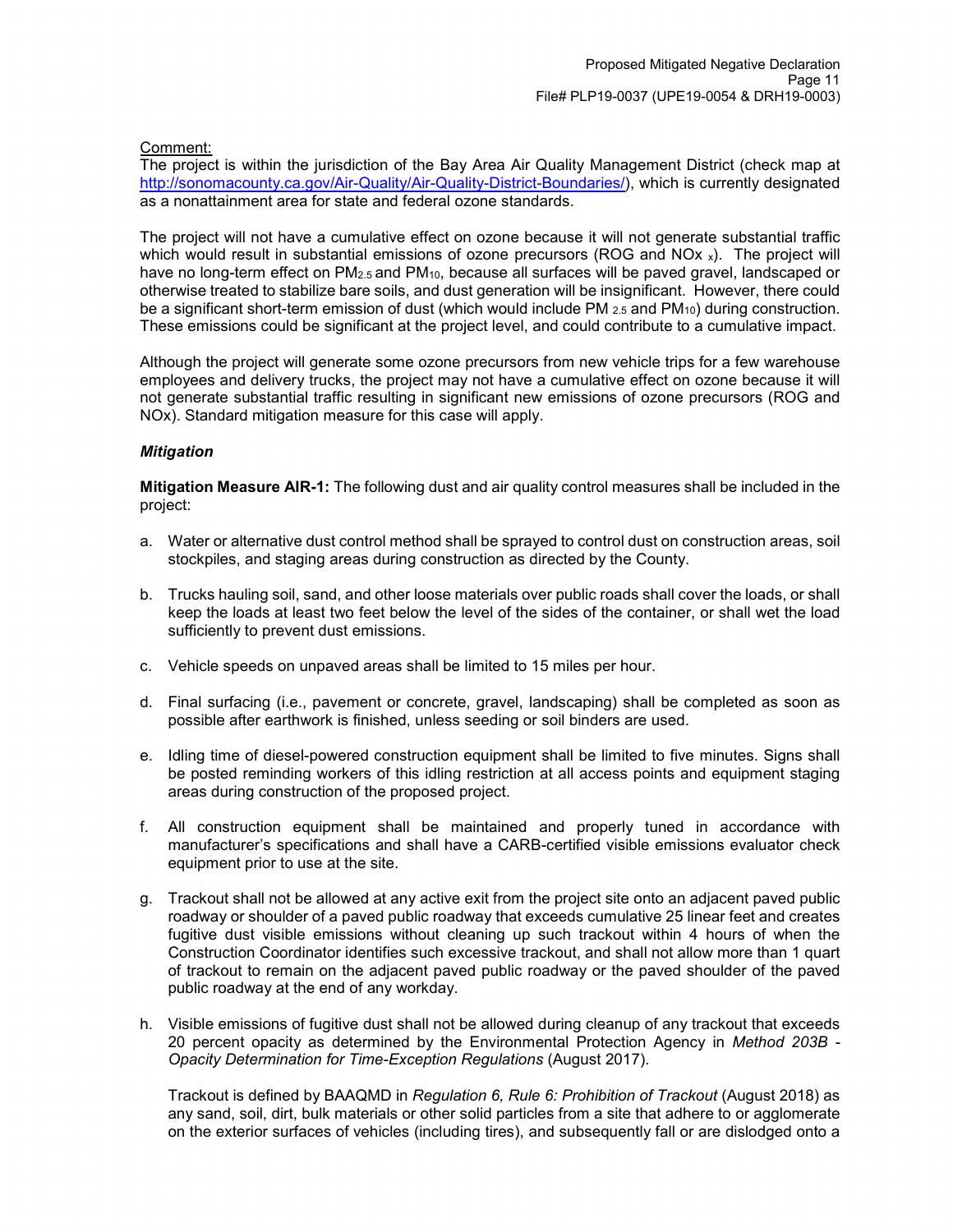### Comment:

The project is within the jurisdiction of the Bay Area Air Quality Management District (check map at [http://sonomacounty.ca.gov/Air-Quality/Air-Quality-District-Boundaries/\)](http://sonomacounty.ca.gov/Air-Quality/Air-Quality-District-Boundaries/), which is currently designated as a nonattainment area for state and federal ozone standards.

The project will not have a cumulative effect on ozone because it will not generate substantial traffic which would result in substantial emissions of ozone precursors (ROG and NO $x$ ). The project will have no long-term effect on  $PM_{2.5}$  and  $PM_{10}$ , because all surfaces will be paved gravel, landscaped or otherwise treated to stabilize bare soils, and dust generation will be insignificant. However, there could be a significant short-term emission of dust (which would include PM  $_{2.5}$  and PM<sub>10</sub>) during construction. These emissions could be significant at the project level, and could contribute to a cumulative impact.

Although the project will generate some ozone precursors from new vehicle trips for a few warehouse employees and delivery trucks, the project may not have a cumulative effect on ozone because it will not generate substantial traffic resulting in significant new emissions of ozone precursors (ROG and NOx). Standard mitigation measure for this case will apply.

## *Mitigation*

**Mitigation Measure AIR-1:** The following dust and air quality control measures shall be included in the project:

- a. Water or alternative dust control method shall be sprayed to control dust on construction areas, soil stockpiles, and staging areas during construction as directed by the County.
- b. Trucks hauling soil, sand, and other loose materials over public roads shall cover the loads, or shall keep the loads at least two feet below the level of the sides of the container, or shall wet the load sufficiently to prevent dust emissions.
- c. Vehicle speeds on unpaved areas shall be limited to 15 miles per hour.
- d. Final surfacing (i.e., pavement or concrete, gravel, landscaping) shall be completed as soon as possible after earthwork is finished, unless seeding or soil binders are used.
- e. Idling time of diesel-powered construction equipment shall be limited to five minutes. Signs shall be posted reminding workers of this idling restriction at all access points and equipment staging areas during construction of the proposed project.
- f. All construction equipment shall be maintained and properly tuned in accordance with manufacturer's specifications and shall have a CARB-certified visible emissions evaluator check equipment prior to use at the site.
- g. Trackout shall not be allowed at any active exit from the project site onto an adjacent paved public roadway or shoulder of a paved public roadway that exceeds cumulative 25 linear feet and creates fugitive dust visible emissions without cleaning up such trackout within 4 hours of when the Construction Coordinator identifies such excessive trackout, and shall not allow more than 1 quart of trackout to remain on the adjacent paved public roadway or the paved shoulder of the paved public roadway at the end of any workday.
- h. Visible emissions of fugitive dust shall not be allowed during cleanup of any trackout that exceeds 20 percent opacity as determined by the Environmental Protection Agency in *Method 203B - Opacity Determination for Time-Exception Regulations* (August 2017).

Trackout is defined by BAAQMD in *Regulation 6, Rule 6: Prohibition of Trackout* (August 2018) as any sand, soil, dirt, bulk materials or other solid particles from a site that adhere to or agglomerate on the exterior surfaces of vehicles (including tires), and subsequently fall or are dislodged onto a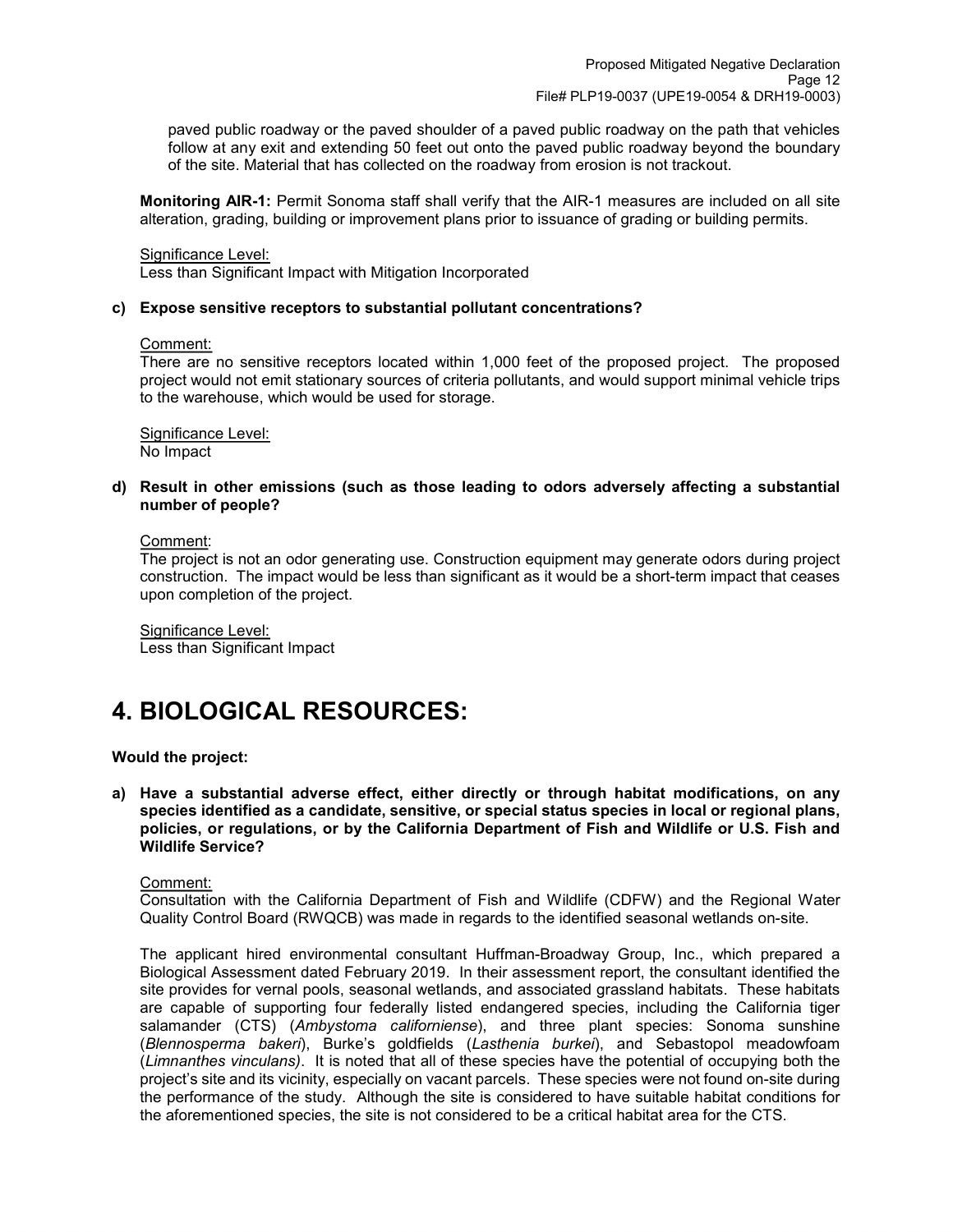paved public roadway or the paved shoulder of a paved public roadway on the path that vehicles follow at any exit and extending 50 feet out onto the paved public roadway beyond the boundary of the site. Material that has collected on the roadway from erosion is not trackout.

**Monitoring AIR-1:** Permit Sonoma staff shall verify that the AIR-1 measures are included on all site alteration, grading, building or improvement plans prior to issuance of grading or building permits.

#### Significance Level:

Less than Significant Impact with Mitigation Incorporated

#### **c) Expose sensitive receptors to substantial pollutant concentrations?**

#### Comment:

There are no sensitive receptors located within 1,000 feet of the proposed project. The proposed project would not emit stationary sources of criteria pollutants, and would support minimal vehicle trips to the warehouse, which would be used for storage.

Significance Level: No Impact

**d) Result in other emissions (such as those leading to odors adversely affecting a substantial number of people?**

#### Comment:

The project is not an odor generating use. Construction equipment may generate odors during project construction. The impact would be less than significant as it would be a short-term impact that ceases upon completion of the project.

Significance Level: Less than Significant Impact

## **4. BIOLOGICAL RESOURCES:**

#### **Would the project:**

**a) Have a substantial adverse effect, either directly or through habitat modifications, on any species identified as a candidate, sensitive, or special status species in local or regional plans, policies, or regulations, or by the California Department of Fish and Wildlife or U.S. Fish and Wildlife Service?**

#### Comment:

Consultation with the California Department of Fish and Wildlife (CDFW) and the Regional Water Quality Control Board (RWQCB) was made in regards to the identified seasonal wetlands on-site.

The applicant hired environmental consultant Huffman-Broadway Group, Inc., which prepared a Biological Assessment dated February 2019. In their assessment report, the consultant identified the site provides for vernal pools, seasonal wetlands, and associated grassland habitats. These habitats are capable of supporting four federally listed endangered species, including the California tiger salamander (CTS) (*Ambystoma californiense*), and three plant species: Sonoma sunshine (*Blennosperma bakeri*), Burke's goldfields (*Lasthenia burkei*), and Sebastopol meadowfoam (*Limnanthes vinculans)*. It is noted that all of these species have the potential of occupying both the project's site and its vicinity, especially on vacant parcels. These species were not found on-site during the performance of the study. Although the site is considered to have suitable habitat conditions for the aforementioned species, the site is not considered to be a critical habitat area for the CTS.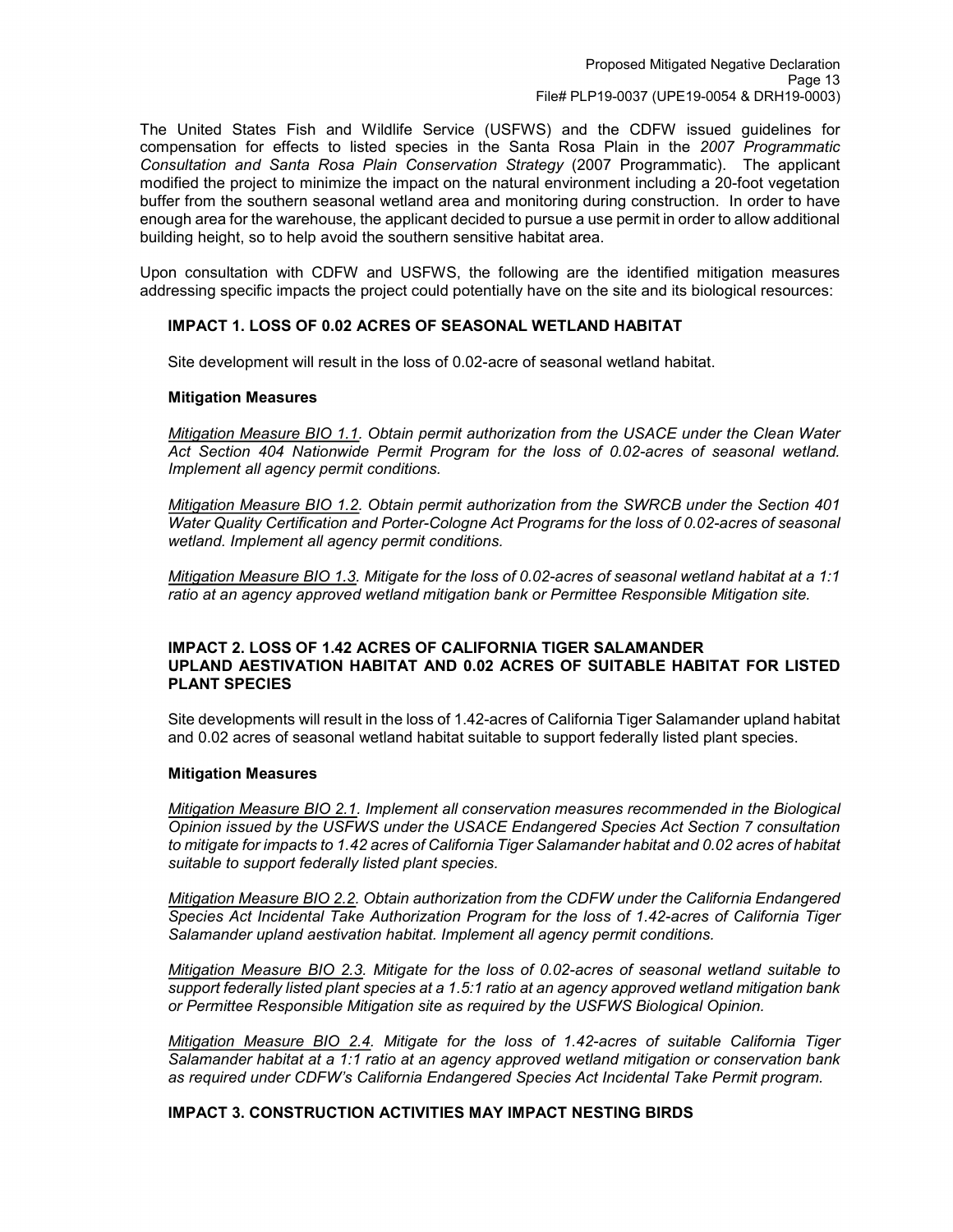The United States Fish and Wildlife Service (USFWS) and the CDFW issued guidelines for compensation for effects to listed species in the Santa Rosa Plain in the *2007 Programmatic Consultation and Santa Rosa Plain Conservation Strategy* (2007 Programmatic). The applicant modified the project to minimize the impact on the natural environment including a 20-foot vegetation buffer from the southern seasonal wetland area and monitoring during construction. In order to have enough area for the warehouse, the applicant decided to pursue a use permit in order to allow additional building height, so to help avoid the southern sensitive habitat area.

Upon consultation with CDFW and USFWS, the following are the identified mitigation measures addressing specific impacts the project could potentially have on the site and its biological resources:

## **IMPACT 1. LOSS OF 0.02 ACRES OF SEASONAL WETLAND HABITAT**

Site development will result in the loss of 0.02-acre of seasonal wetland habitat.

#### **Mitigation Measures**

*Mitigation Measure BIO 1.1. Obtain permit authorization from the USACE under the Clean Water Act Section 404 Nationwide Permit Program for the loss of 0.02-acres of seasonal wetland. Implement all agency permit conditions.* 

*Mitigation Measure BIO 1.2. Obtain permit authorization from the SWRCB under the Section 401 Water Quality Certification and Porter-Cologne Act Programs for the loss of 0.02-acres of seasonal wetland. Implement all agency permit conditions.*

*Mitigation Measure BIO 1.3. Mitigate for the loss of 0.02-acres of seasonal wetland habitat at a 1:1 ratio at an agency approved wetland mitigation bank or Permittee Responsible Mitigation site.*

#### **IMPACT 2. LOSS OF 1.42 ACRES OF CALIFORNIA TIGER SALAMANDER UPLAND AESTIVATION HABITAT AND 0.02 ACRES OF SUITABLE HABITAT FOR LISTED PLANT SPECIES**

Site developments will result in the loss of 1.42-acres of California Tiger Salamander upland habitat and 0.02 acres of seasonal wetland habitat suitable to support federally listed plant species.

#### **Mitigation Measures**

*Mitigation Measure BIO 2.1. Implement all conservation measures recommended in the Biological Opinion issued by the USFWS under the USACE Endangered Species Act Section 7 consultation to mitigate for impacts to 1.42 acres of California Tiger Salamander habitat and 0.02 acres of habitat suitable to support federally listed plant species.* 

*Mitigation Measure BIO 2.2. Obtain authorization from the CDFW under the California Endangered Species Act Incidental Take Authorization Program for the loss of 1.42-acres of California Tiger Salamander upland aestivation habitat. Implement all agency permit conditions.* 

*Mitigation Measure BIO 2.3. Mitigate for the loss of 0.02-acres of seasonal wetland suitable to support federally listed plant species at a 1.5:1 ratio at an agency approved wetland mitigation bank or Permittee Responsible Mitigation site as required by the USFWS Biological Opinion.*

*Mitigation Measure BIO 2.4. Mitigate for the loss of 1.42-acres of suitable California Tiger Salamander habitat at a 1:1 ratio at an agency approved wetland mitigation or conservation bank as required under CDFW's California Endangered Species Act Incidental Take Permit program.*

#### **IMPACT 3. CONSTRUCTION ACTIVITIES MAY IMPACT NESTING BIRDS**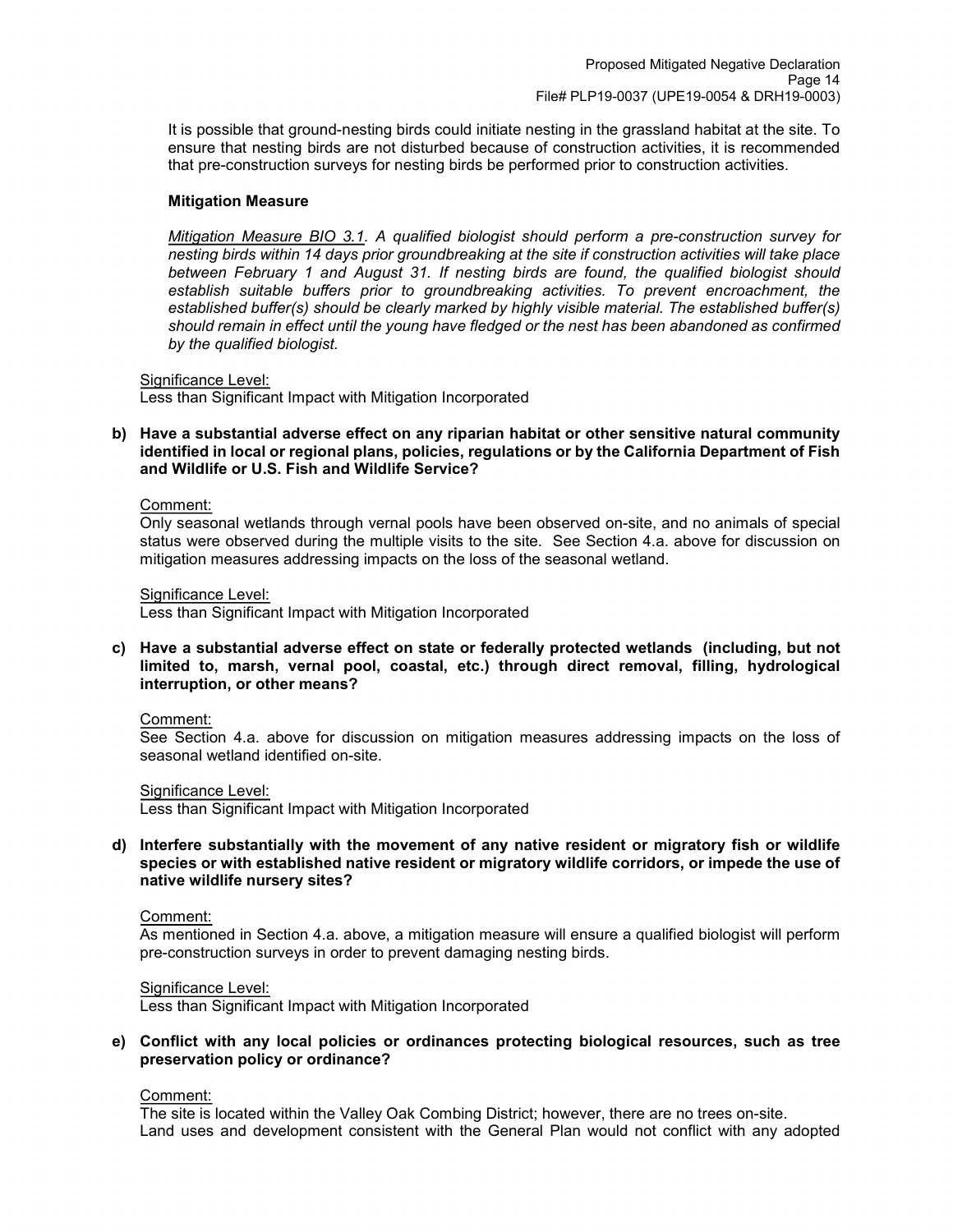It is possible that ground-nesting birds could initiate nesting in the grassland habitat at the site. To ensure that nesting birds are not disturbed because of construction activities, it is recommended that pre-construction surveys for nesting birds be performed prior to construction activities.

#### **Mitigation Measure**

*Mitigation Measure BIO 3.1. A qualified biologist should perform a pre-construction survey for nesting birds within 14 days prior groundbreaking at the site if construction activities will take place between February 1 and August 31. If nesting birds are found, the qualified biologist should establish suitable buffers prior to groundbreaking activities. To prevent encroachment, the established buffer(s) should be clearly marked by highly visible material. The established buffer(s) should remain in effect until the young have fledged or the nest has been abandoned as confirmed by the qualified biologist.*

Significance Level:

Less than Significant Impact with Mitigation Incorporated

**b) Have a substantial adverse effect on any riparian habitat or other sensitive natural community identified in local or regional plans, policies, regulations or by the California Department of Fish and Wildlife or U.S. Fish and Wildlife Service?**

#### Comment:

Only seasonal wetlands through vernal pools have been observed on-site, and no animals of special status were observed during the multiple visits to the site. See Section 4.a. above for discussion on mitigation measures addressing impacts on the loss of the seasonal wetland.

Significance Level:

Less than Significant Impact with Mitigation Incorporated

**c) Have a substantial adverse effect on state or federally protected wetlands (including, but not limited to, marsh, vernal pool, coastal, etc.) through direct removal, filling, hydrological interruption, or other means?**

Comment:

See Section 4.a. above for discussion on mitigation measures addressing impacts on the loss of seasonal wetland identified on-site.

Significance Level:

Less than Significant Impact with Mitigation Incorporated

**d) Interfere substantially with the movement of any native resident or migratory fish or wildlife species or with established native resident or migratory wildlife corridors, or impede the use of native wildlife nursery sites?**

Comment:

As mentioned in Section 4.a. above, a mitigation measure will ensure a qualified biologist will perform pre-construction surveys in order to prevent damaging nesting birds.

Significance Level:

Less than Significant Impact with Mitigation Incorporated

#### **e) Conflict with any local policies or ordinances protecting biological resources, such as tree preservation policy or ordinance?**

Comment:

The site is located within the Valley Oak Combing District; however, there are no trees on-site. Land uses and development consistent with the General Plan would not conflict with any adopted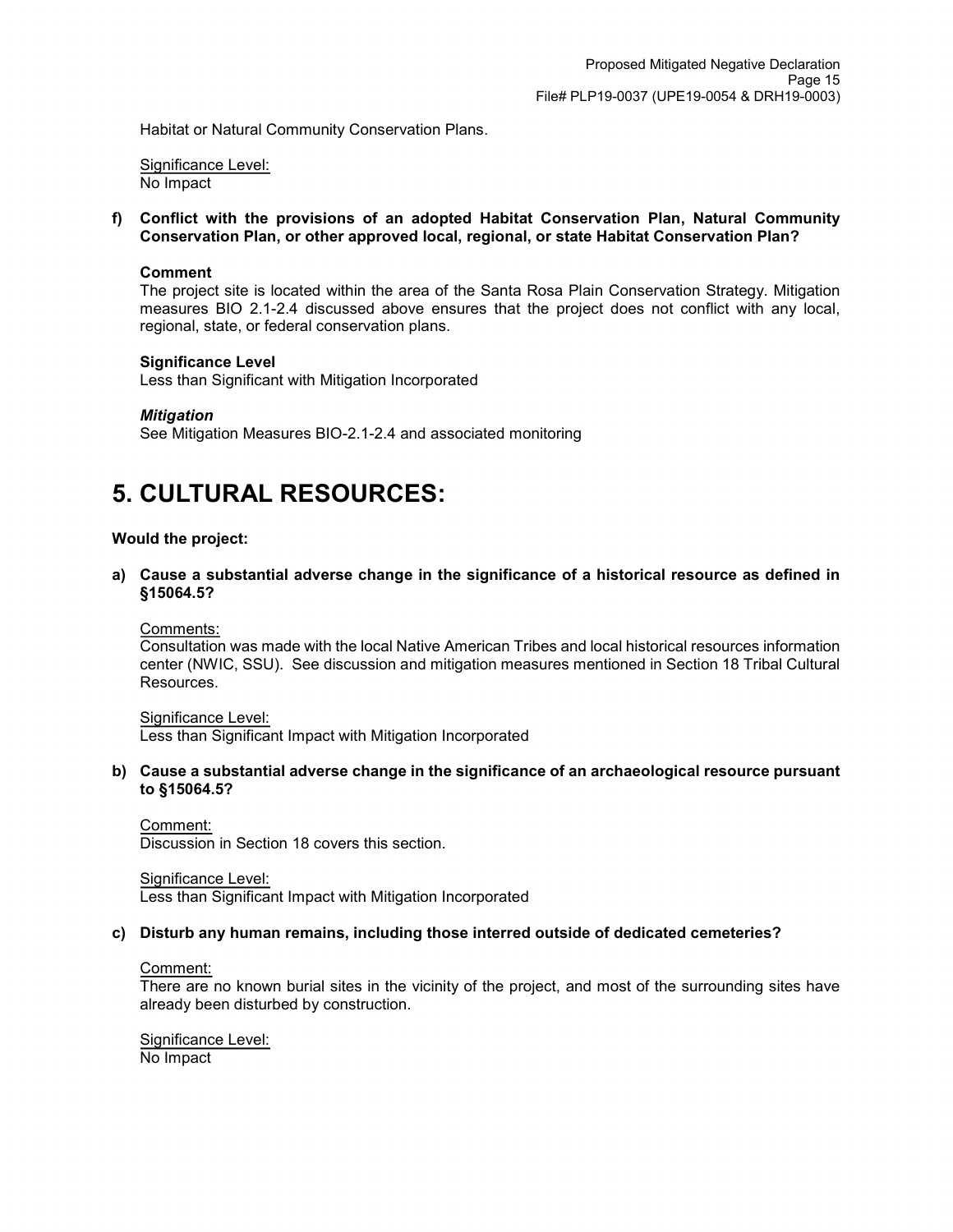Habitat or Natural Community Conservation Plans.

Significance Level: No Impact

**f) Conflict with the provisions of an adopted Habitat Conservation Plan, Natural Community Conservation Plan, or other approved local, regional, or state Habitat Conservation Plan?**

#### **Comment**

The project site is located within the area of the Santa Rosa Plain Conservation Strategy. Mitigation measures BIO 2.1-2.4 discussed above ensures that the project does not conflict with any local, regional, state, or federal conservation plans.

#### **Significance Level**

Less than Significant with Mitigation Incorporated

#### *Mitigation*

See Mitigation Measures BIO-2.1-2.4 and associated monitoring

## **5. CULTURAL RESOURCES:**

#### **Would the project:**

**a) Cause a substantial adverse change in the significance of a historical resource as defined in §15064.5?**

Comments:

Consultation was made with the local Native American Tribes and local historical resources information center (NWIC, SSU). See discussion and mitigation measures mentioned in Section 18 Tribal Cultural Resources.

#### Significance Level:

Less than Significant Impact with Mitigation Incorporated

**b) Cause a substantial adverse change in the significance of an archaeological resource pursuant to §15064.5?**

Comment: Discussion in Section 18 covers this section.

Significance Level: Less than Significant Impact with Mitigation Incorporated

## **c) Disturb any human remains, including those interred outside of dedicated cemeteries?**

#### Comment:

There are no known burial sites in the vicinity of the project, and most of the surrounding sites have already been disturbed by construction.

Significance Level: No Impact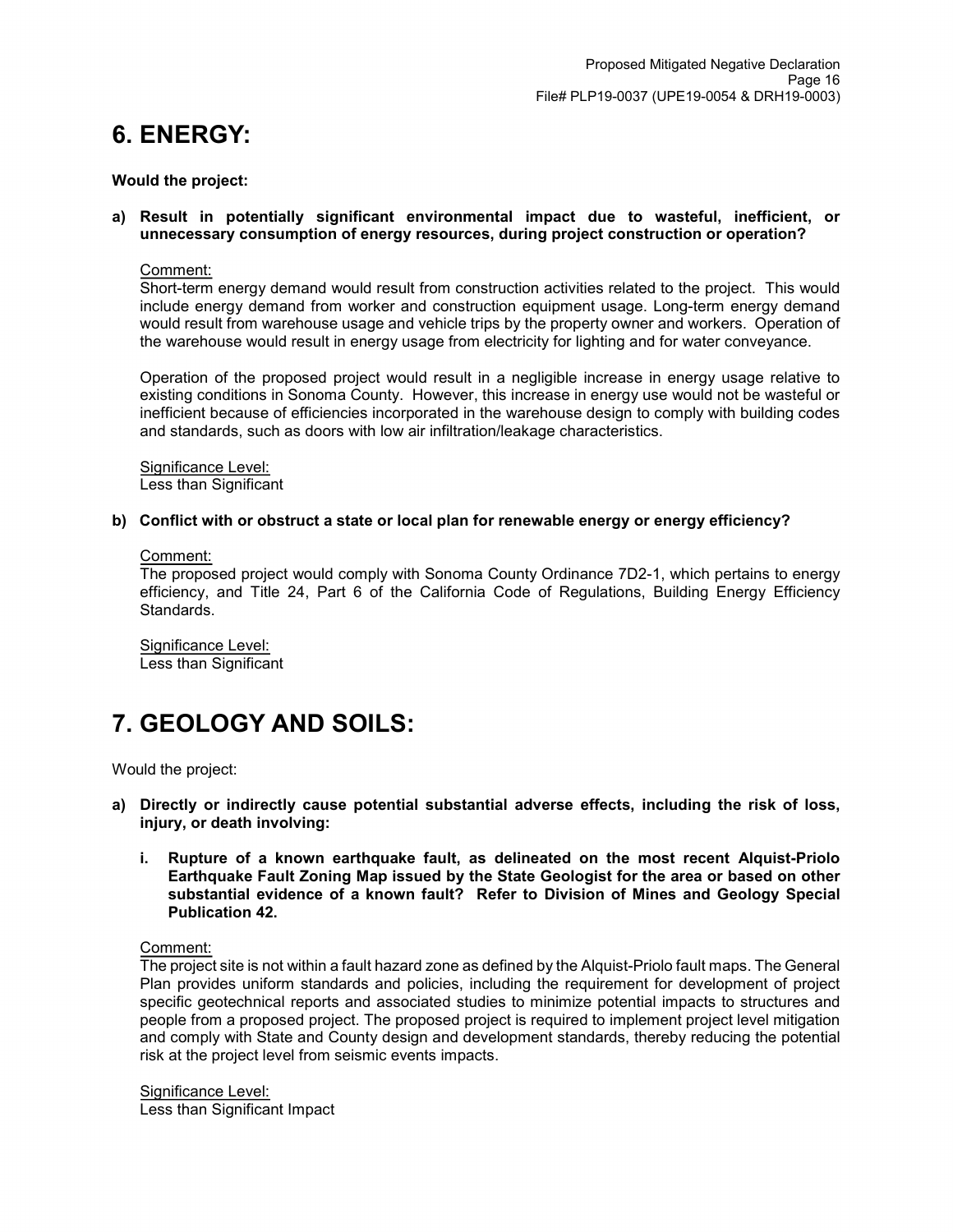## **6. ENERGY:**

#### **Would the project:**

#### **a) Result in potentially significant environmental impact due to wasteful, inefficient, or unnecessary consumption of energy resources, during project construction or operation?**

#### Comment:

Short-term energy demand would result from construction activities related to the project. This would include energy demand from worker and construction equipment usage. Long-term energy demand would result from warehouse usage and vehicle trips by the property owner and workers. Operation of the warehouse would result in energy usage from electricity for lighting and for water conveyance.

Operation of the proposed project would result in a negligible increase in energy usage relative to existing conditions in Sonoma County. However, this increase in energy use would not be wasteful or inefficient because of efficiencies incorporated in the warehouse design to comply with building codes and standards, such as doors with low air infiltration/leakage characteristics.

Significance Level: Less than Significant

#### **b) Conflict with or obstruct a state or local plan for renewable energy or energy efficiency?**

#### Comment:

The proposed project would comply with Sonoma County Ordinance 7D2-1, which pertains to energy efficiency, and Title 24, Part 6 of the California Code of Regulations, Building Energy Efficiency Standards.

Significance Level: Less than Significant

## **7. GEOLOGY AND SOILS:**

Would the project:

- **a) Directly or indirectly cause potential substantial adverse effects, including the risk of loss, injury, or death involving:**
	- **i. Rupture of a known earthquake fault, as delineated on the most recent Alquist-Priolo Earthquake Fault Zoning Map issued by the State Geologist for the area or based on other substantial evidence of a known fault? Refer to Division of Mines and Geology Special Publication 42.**

Comment:

The project site is not within a fault hazard zone as defined by the Alquist-Priolo fault maps. The General Plan provides uniform standards and policies, including the requirement for development of project specific geotechnical reports and associated studies to minimize potential impacts to structures and people from a proposed project. The proposed project is required to implement project level mitigation and comply with State and County design and development standards, thereby reducing the potential risk at the project level from seismic events impacts.

Significance Level: Less than Significant Impact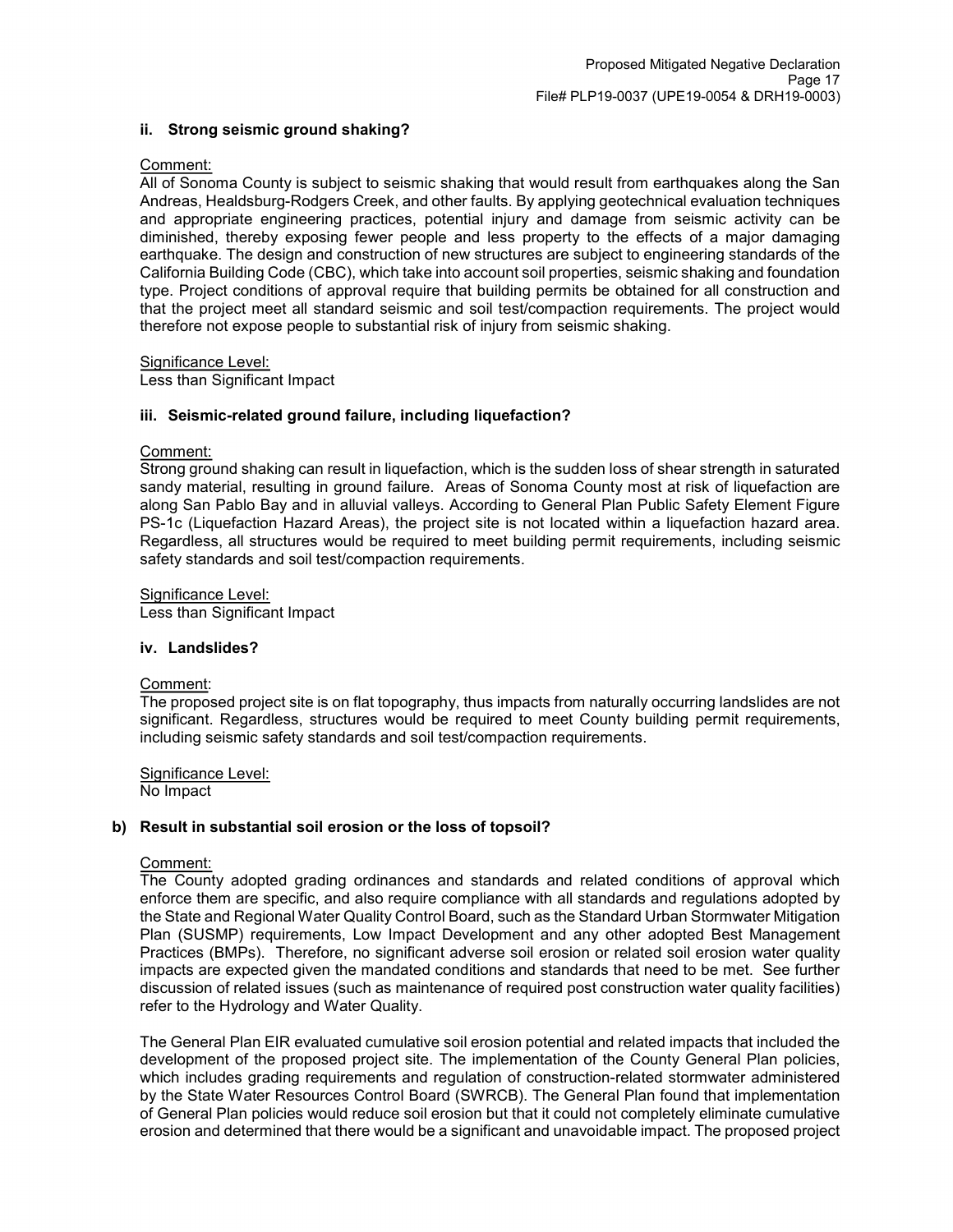### **ii. Strong seismic ground shaking?**

### Comment:

All of Sonoma County is subject to seismic shaking that would result from earthquakes along the San Andreas, Healdsburg-Rodgers Creek, and other faults. By applying geotechnical evaluation techniques and appropriate engineering practices, potential injury and damage from seismic activity can be diminished, thereby exposing fewer people and less property to the effects of a major damaging earthquake. The design and construction of new structures are subject to engineering standards of the California Building Code (CBC), which take into account soil properties, seismic shaking and foundation type. Project conditions of approval require that building permits be obtained for all construction and that the project meet all standard seismic and soil test/compaction requirements. The project would therefore not expose people to substantial risk of injury from seismic shaking.

Significance Level:

Less than Significant Impact

## **iii. Seismic-related ground failure, including liquefaction?**

### Comment:

Strong ground shaking can result in liquefaction, which is the sudden loss of shear strength in saturated sandy material, resulting in ground failure. Areas of Sonoma County most at risk of liquefaction are along San Pablo Bay and in alluvial valleys. According to General Plan Public Safety Element Figure PS-1c (Liquefaction Hazard Areas), the project site is not located within a liquefaction hazard area. Regardless, all structures would be required to meet building permit requirements, including seismic safety standards and soil test/compaction requirements.

Significance Level:

Less than Significant Impact

#### **iv. Landslides?**

#### Comment:

The proposed project site is on flat topography, thus impacts from naturally occurring landslides are not significant. Regardless, structures would be required to meet County building permit requirements, including seismic safety standards and soil test/compaction requirements.

Significance Level: No Impact

#### **b) Result in substantial soil erosion or the loss of topsoil?**

### Comment:

The County adopted grading ordinances and standards and related conditions of approval which enforce them are specific, and also require compliance with all standards and regulations adopted by the State and Regional Water Quality Control Board, such as the Standard Urban Stormwater Mitigation Plan (SUSMP) requirements, Low Impact Development and any other adopted Best Management Practices (BMPs). Therefore, no significant adverse soil erosion or related soil erosion water quality impacts are expected given the mandated conditions and standards that need to be met. See further discussion of related issues (such as maintenance of required post construction water quality facilities) refer to the Hydrology and Water Quality.

The General Plan EIR evaluated cumulative soil erosion potential and related impacts that included the development of the proposed project site. The implementation of the County General Plan policies, which includes grading requirements and regulation of construction-related stormwater administered by the State Water Resources Control Board (SWRCB). The General Plan found that implementation of General Plan policies would reduce soil erosion but that it could not completely eliminate cumulative erosion and determined that there would be a significant and unavoidable impact. The proposed project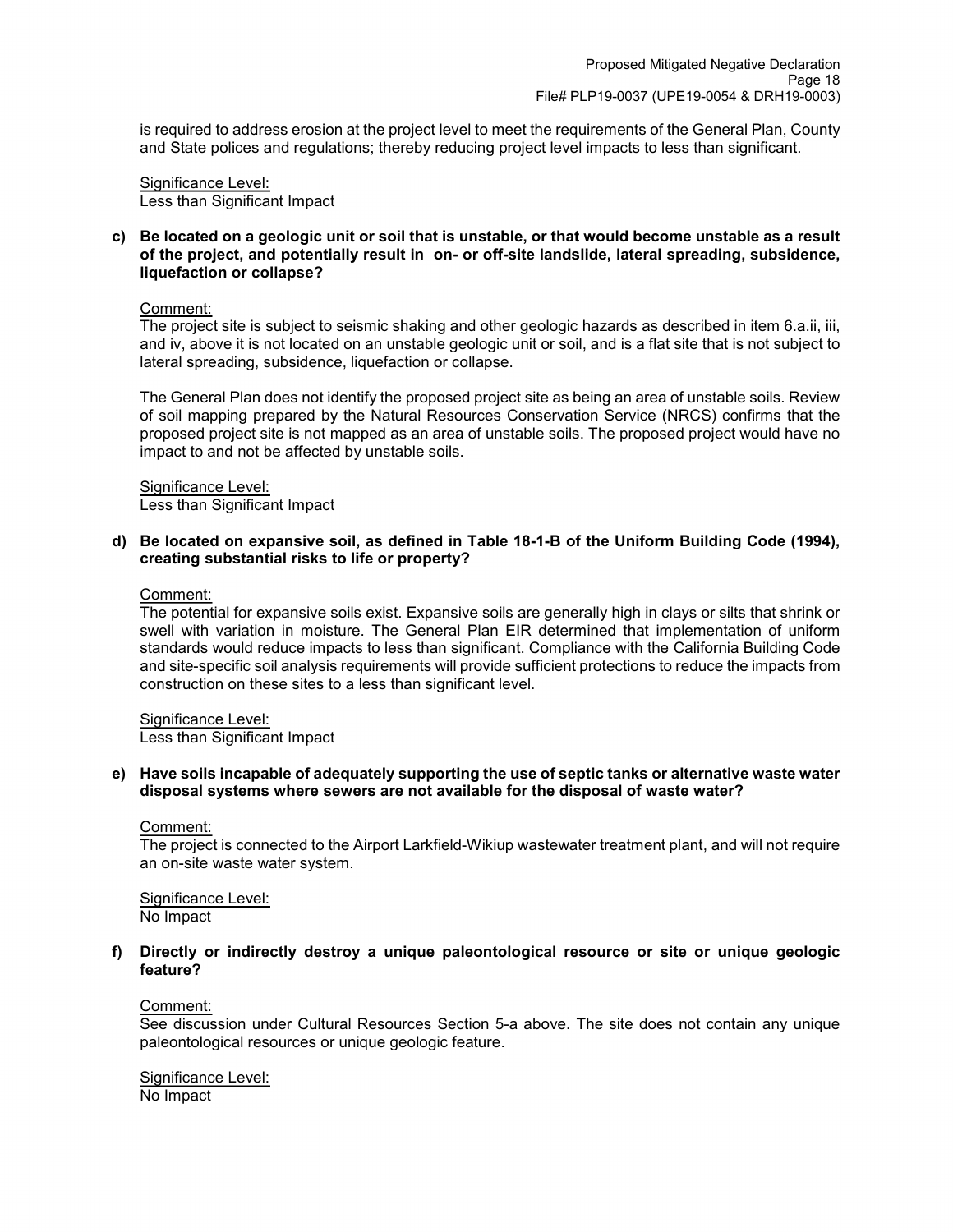is required to address erosion at the project level to meet the requirements of the General Plan, County and State polices and regulations; thereby reducing project level impacts to less than significant.

Significance Level: Less than Significant Impact

**c) Be located on a geologic unit or soil that is unstable, or that would become unstable as a result of the project, and potentially result in on- or off-site landslide, lateral spreading, subsidence, liquefaction or collapse?**

#### Comment:

The project site is subject to seismic shaking and other geologic hazards as described in item 6.a.ii, iii, and iv, above it is not located on an unstable geologic unit or soil, and is a flat site that is not subject to lateral spreading, subsidence, liquefaction or collapse.

The General Plan does not identify the proposed project site as being an area of unstable soils. Review of soil mapping prepared by the Natural Resources Conservation Service (NRCS) confirms that the proposed project site is not mapped as an area of unstable soils. The proposed project would have no impact to and not be affected by unstable soils.

## Significance Level:

Less than Significant Impact

### **d) Be located on expansive soil, as defined in Table 18-1-B of the Uniform Building Code (1994), creating substantial risks to life or property?**

Comment:

The potential for expansive soils exist. Expansive soils are generally high in clays or silts that shrink or swell with variation in moisture. The General Plan EIR determined that implementation of uniform standards would reduce impacts to less than significant. Compliance with the California Building Code and site-specific soil analysis requirements will provide sufficient protections to reduce the impacts from construction on these sites to a less than significant level.

#### Significance Level:

Less than Significant Impact

#### **e) Have soils incapable of adequately supporting the use of septic tanks or alternative waste water disposal systems where sewers are not available for the disposal of waste water?**

#### Comment:

The project is connected to the Airport Larkfield-Wikiup wastewater treatment plant, and will not require an on-site waste water system.

Significance Level: No Impact

#### **f) Directly or indirectly destroy a unique paleontological resource or site or unique geologic feature?**

#### Comment:

See discussion under Cultural Resources Section 5-a above. The site does not contain any unique paleontological resources or unique geologic feature.

Significance Level: No Impact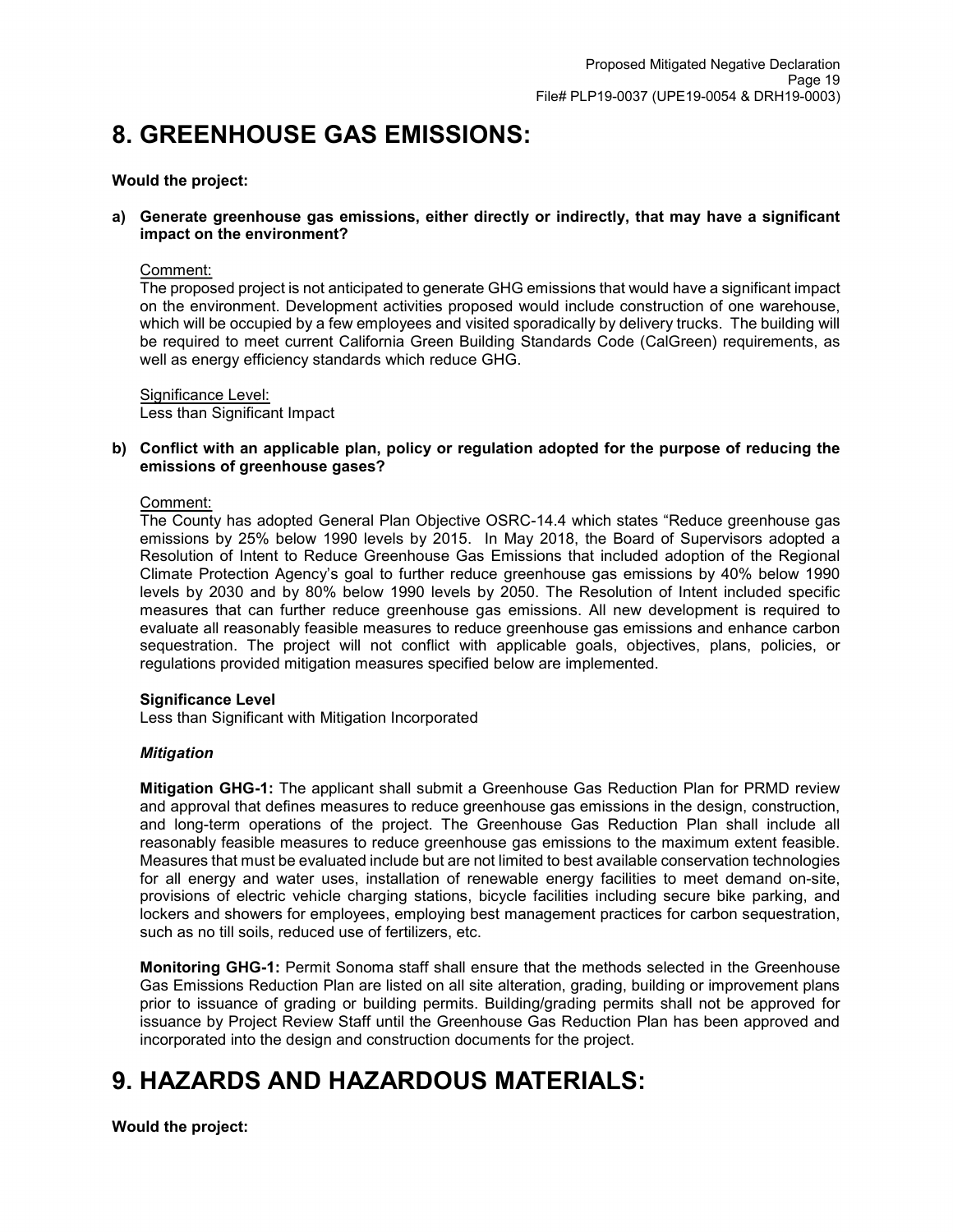## **8. GREENHOUSE GAS EMISSIONS:**

### **Would the project:**

#### **a) Generate greenhouse gas emissions, either directly or indirectly, that may have a significant impact on the environment?**

#### Comment:

The proposed project is not anticipated to generate GHG emissions that would have a significant impact on the environment. Development activities proposed would include construction of one warehouse, which will be occupied by a few employees and visited sporadically by delivery trucks. The building will be required to meet current California Green Building Standards Code (CalGreen) requirements, as well as energy efficiency standards which reduce GHG.

Significance Level: Less than Significant Impact

### **b) Conflict with an applicable plan, policy or regulation adopted for the purpose of reducing the emissions of greenhouse gases?**

#### Comment:

The County has adopted General Plan Objective OSRC-14.4 which states "Reduce greenhouse gas emissions by 25% below 1990 levels by 2015. In May 2018, the Board of Supervisors adopted a Resolution of Intent to Reduce Greenhouse Gas Emissions that included adoption of the Regional Climate Protection Agency's goal to further reduce greenhouse gas emissions by 40% below 1990 levels by 2030 and by 80% below 1990 levels by 2050. The Resolution of Intent included specific measures that can further reduce greenhouse gas emissions. All new development is required to evaluate all reasonably feasible measures to reduce greenhouse gas emissions and enhance carbon sequestration. The project will not conflict with applicable goals, objectives, plans, policies, or regulations provided mitigation measures specified below are implemented.

#### **Significance Level**

Less than Significant with Mitigation Incorporated

#### *Mitigation*

**Mitigation GHG-1:** The applicant shall submit a Greenhouse Gas Reduction Plan for PRMD review and approval that defines measures to reduce greenhouse gas emissions in the design, construction, and long-term operations of the project. The Greenhouse Gas Reduction Plan shall include all reasonably feasible measures to reduce greenhouse gas emissions to the maximum extent feasible. Measures that must be evaluated include but are not limited to best available conservation technologies for all energy and water uses, installation of renewable energy facilities to meet demand on-site, provisions of electric vehicle charging stations, bicycle facilities including secure bike parking, and lockers and showers for employees, employing best management practices for carbon sequestration, such as no till soils, reduced use of fertilizers, etc.

**Monitoring GHG-1:** Permit Sonoma staff shall ensure that the methods selected in the Greenhouse Gas Emissions Reduction Plan are listed on all site alteration, grading, building or improvement plans prior to issuance of grading or building permits. Building/grading permits shall not be approved for issuance by Project Review Staff until the Greenhouse Gas Reduction Plan has been approved and incorporated into the design and construction documents for the project.

## **9. HAZARDS AND HAZARDOUS MATERIALS:**

**Would the project:**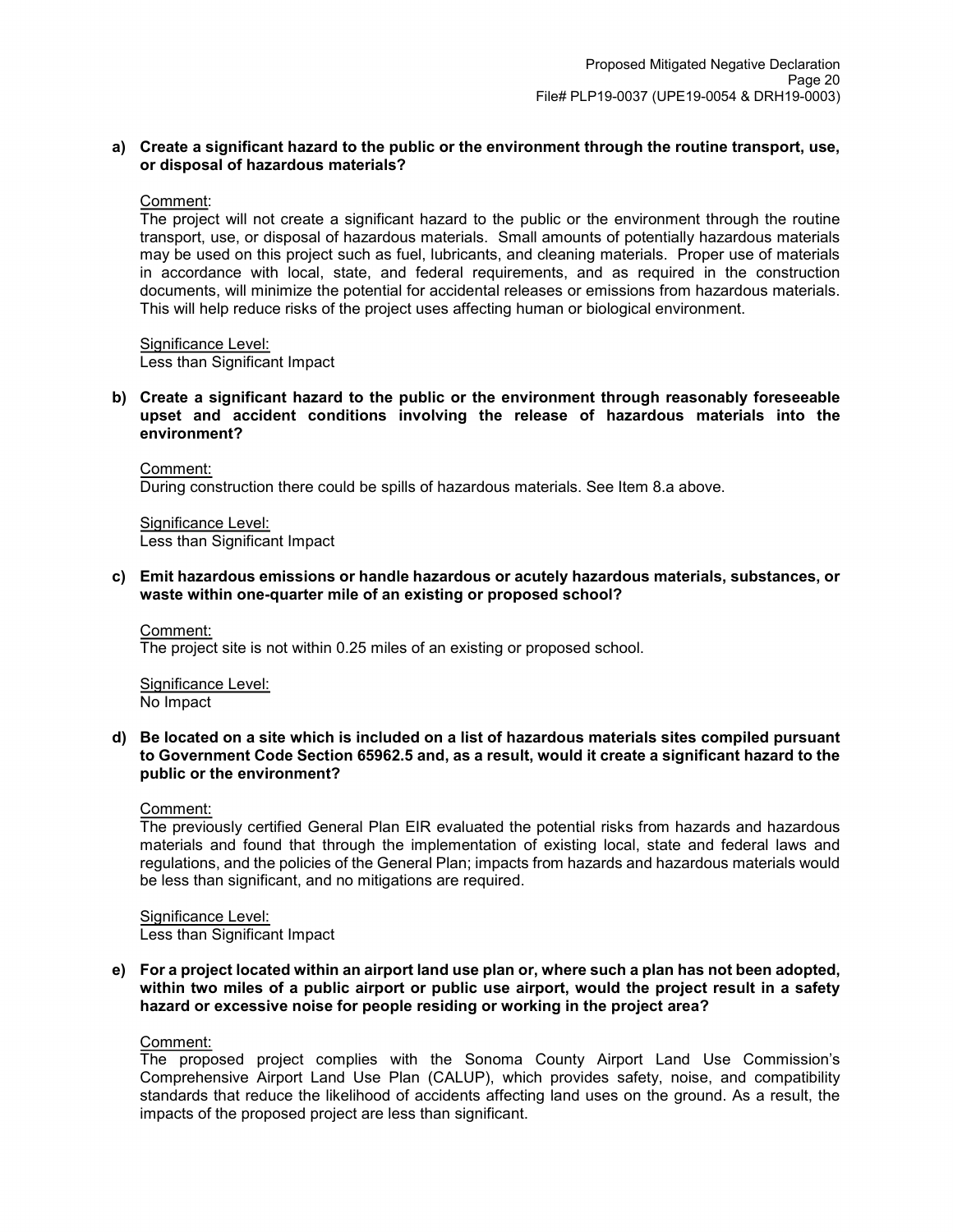### **a) Create a significant hazard to the public or the environment through the routine transport, use, or disposal of hazardous materials?**

#### Comment:

The project will not create a significant hazard to the public or the environment through the routine transport, use, or disposal of hazardous materials. Small amounts of potentially hazardous materials may be used on this project such as fuel, lubricants, and cleaning materials. Proper use of materials in accordance with local, state, and federal requirements, and as required in the construction documents, will minimize the potential for accidental releases or emissions from hazardous materials. This will help reduce risks of the project uses affecting human or biological environment.

Significance Level: Less than Significant Impact

#### **b) Create a significant hazard to the public or the environment through reasonably foreseeable upset and accident conditions involving the release of hazardous materials into the environment?**

Comment: During construction there could be spills of hazardous materials. See Item 8.a above.

Significance Level: Less than Significant Impact

**c) Emit hazardous emissions or handle hazardous or acutely hazardous materials, substances, or waste within one-quarter mile of an existing or proposed school?**

#### Comment:

The project site is not within 0.25 miles of an existing or proposed school.

Significance Level: No Impact

**d) Be located on a site which is included on a list of hazardous materials sites compiled pursuant to Government Code Section 65962.5 and, as a result, would it create a significant hazard to the public or the environment?**

Comment:

The previously certified General Plan EIR evaluated the potential risks from hazards and hazardous materials and found that through the implementation of existing local, state and federal laws and regulations, and the policies of the General Plan; impacts from hazards and hazardous materials would be less than significant, and no mitigations are required.

Significance Level: Less than Significant Impact

**e) For a project located within an airport land use plan or, where such a plan has not been adopted, within two miles of a public airport or public use airport, would the project result in a safety hazard or excessive noise for people residing or working in the project area?**

#### Comment:

The proposed project complies with the Sonoma County Airport Land Use Commission's Comprehensive Airport Land Use Plan (CALUP), which provides safety, noise, and compatibility standards that reduce the likelihood of accidents affecting land uses on the ground. As a result, the impacts of the proposed project are less than significant.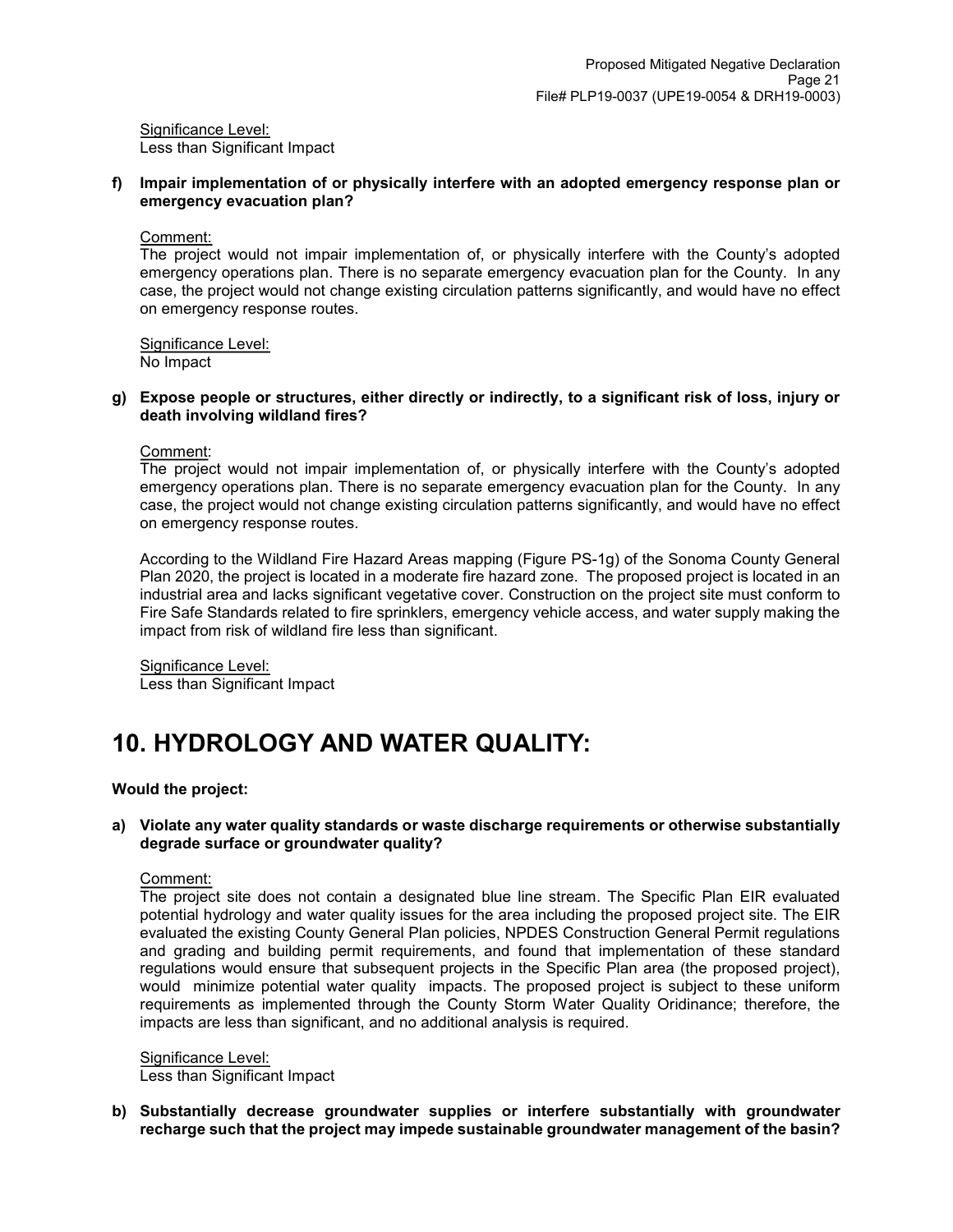Significance Level: Less than Significant Impact

**f) Impair implementation of or physically interfere with an adopted emergency response plan or emergency evacuation plan?** 

#### Comment:

The project would not impair implementation of, or physically interfere with the County's adopted emergency operations plan. There is no separate emergency evacuation plan for the County. In any case, the project would not change existing circulation patterns significantly, and would have no effect on emergency response routes.

Significance Level:

No Impact

### **g) Expose people or structures, either directly or indirectly, to a significant risk of loss, injury or death involving wildland fires?**

Comment:

The project would not impair implementation of, or physically interfere with the County's adopted emergency operations plan. There is no separate emergency evacuation plan for the County. In any case, the project would not change existing circulation patterns significantly, and would have no effect on emergency response routes.

According to the Wildland Fire Hazard Areas mapping (Figure PS-1g) of the Sonoma County General Plan 2020, the project is located in a moderate fire hazard zone. The proposed project is located in an industrial area and lacks significant vegetative cover. Construction on the project site must conform to Fire Safe Standards related to fire sprinklers, emergency vehicle access, and water supply making the impact from risk of wildland fire less than significant.

Significance Level: Less than Significant Impact

## **10. HYDROLOGY AND WATER QUALITY:**

#### **Would the project:**

#### **a) Violate any water quality standards or waste discharge requirements or otherwise substantially degrade surface or groundwater quality?**

Comment:

The project site does not contain a designated blue line stream. The Specific Plan EIR evaluated potential hydrology and water quality issues for the area including the proposed project site. The EIR evaluated the existing County General Plan policies, NPDES Construction General Permit regulations and grading and building permit requirements, and found that implementation of these standard regulations would ensure that subsequent projects in the Specific Plan area (the proposed project), would minimize potential water quality impacts. The proposed project is subject to these uniform requirements as implemented through the County Storm Water Quality Oridinance; therefore, the impacts are less than significant, and no additional analysis is required.

Significance Level: Less than Significant Impact

**b) Substantially decrease groundwater supplies or interfere substantially with groundwater recharge such that the project may impede sustainable groundwater management of the basin?**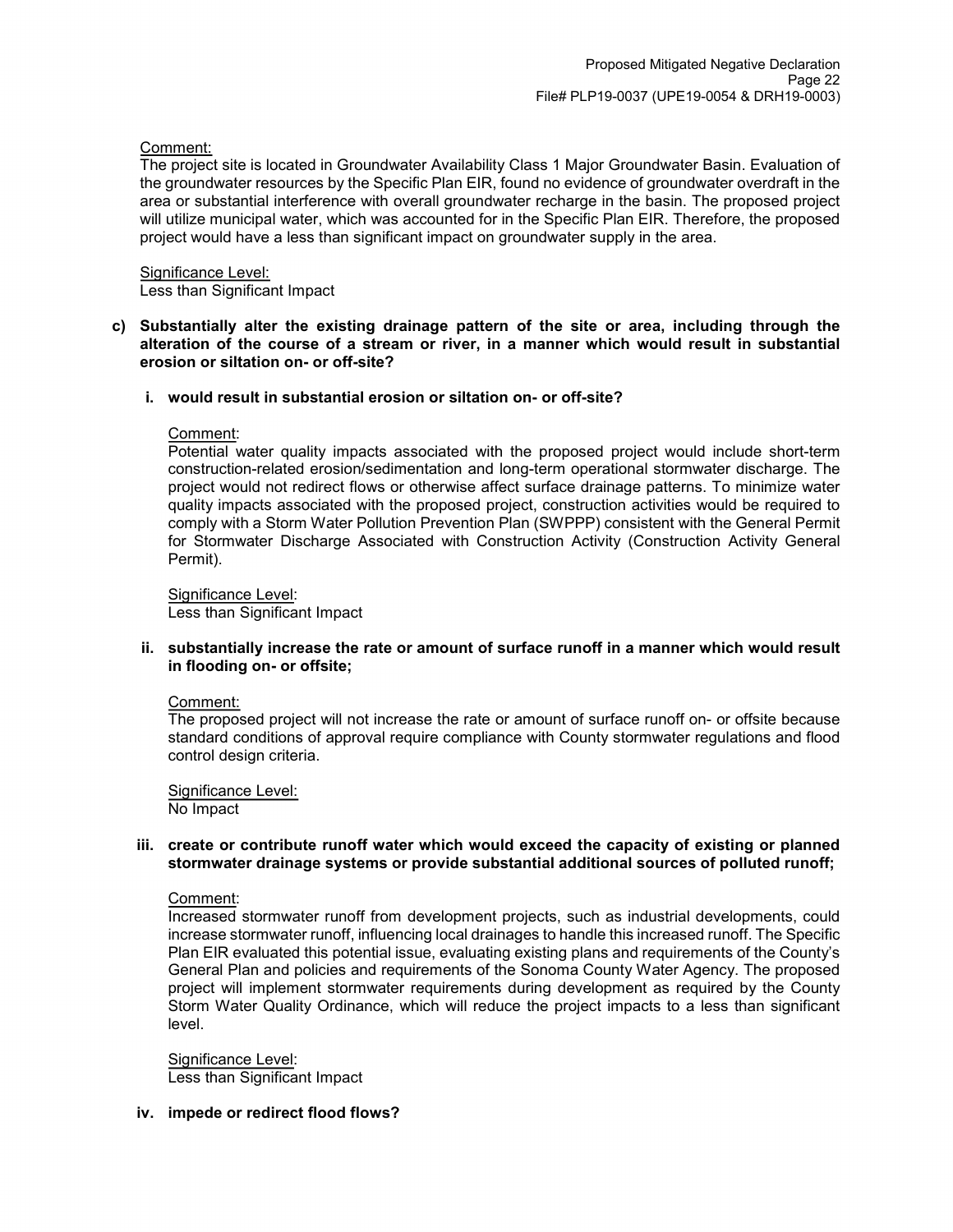#### Comment:

The project site is located in Groundwater Availability Class 1 Major Groundwater Basin. Evaluation of the groundwater resources by the Specific Plan EIR, found no evidence of groundwater overdraft in the area or substantial interference with overall groundwater recharge in the basin. The proposed project will utilize municipal water, which was accounted for in the Specific Plan EIR. Therefore, the proposed project would have a less than significant impact on groundwater supply in the area.

#### Significance Level:

Less than Significant Impact

**c) Substantially alter the existing drainage pattern of the site or area, including through the alteration of the course of a stream or river, in a manner which would result in substantial erosion or siltation on- or off-site?**

#### **i. would result in substantial erosion or siltation on- or off-site?**

#### Comment:

Potential water quality impacts associated with the proposed project would include short-term construction-related erosion/sedimentation and long-term operational stormwater discharge. The project would not redirect flows or otherwise affect surface drainage patterns. To minimize water quality impacts associated with the proposed project, construction activities would be required to comply with a Storm Water Pollution Prevention Plan (SWPPP) consistent with the General Permit for Stormwater Discharge Associated with Construction Activity (Construction Activity General Permit).

Significance Level: Less than Significant Impact

#### **ii. substantially increase the rate or amount of surface runoff in a manner which would result in flooding on- or offsite;**

#### Comment:

The proposed project will not increase the rate or amount of surface runoff on- or offsite because standard conditions of approval require compliance with County stormwater regulations and flood control design criteria.

Significance Level: No Impact

#### **iii. create or contribute runoff water which would exceed the capacity of existing or planned stormwater drainage systems or provide substantial additional sources of polluted runoff;**

#### Comment:

Increased stormwater runoff from development projects, such as industrial developments, could increase stormwater runoff, influencing local drainages to handle this increased runoff. The Specific Plan EIR evaluated this potential issue, evaluating existing plans and requirements of the County's General Plan and policies and requirements of the Sonoma County Water Agency. The proposed project will implement stormwater requirements during development as required by the County Storm Water Quality Ordinance, which will reduce the project impacts to a less than significant level.

Significance Level: Less than Significant Impact

### **iv. impede or redirect flood flows?**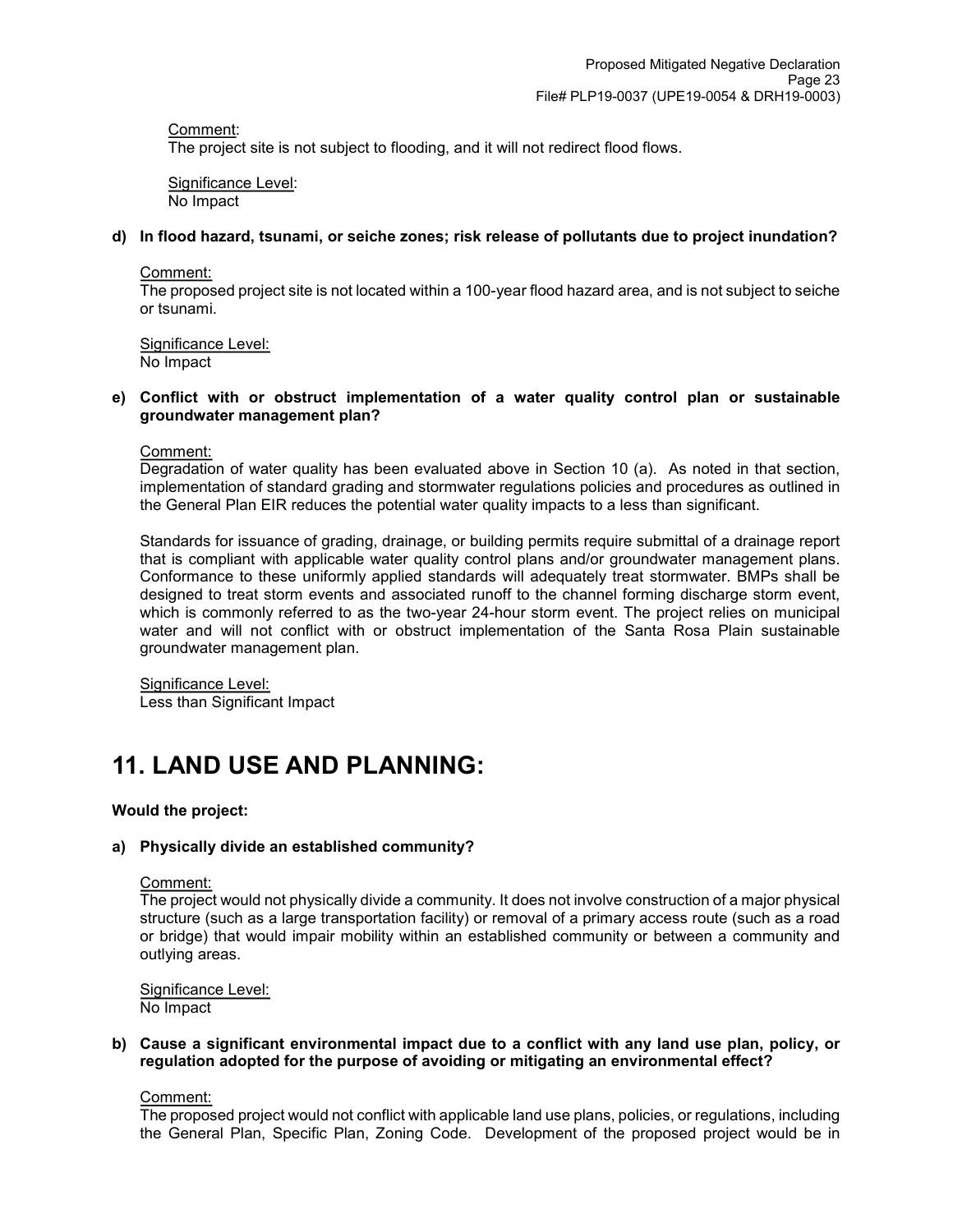### Comment:

The project site is not subject to flooding, and it will not redirect flood flows.

Significance Level: No Impact

### **d) In flood hazard, tsunami, or seiche zones; risk release of pollutants due to project inundation?**

Comment:

The proposed project site is not located within a 100-year flood hazard area, and is not subject to seiche or tsunami.

Significance Level: No Impact

### **e) Conflict with or obstruct implementation of a water quality control plan or sustainable groundwater management plan?**

Comment:

Degradation of water quality has been evaluated above in Section 10 (a). As noted in that section, implementation of standard grading and stormwater regulations policies and procedures as outlined in the General Plan EIR reduces the potential water quality impacts to a less than significant.

Standards for issuance of grading, drainage, or building permits require submittal of a drainage report that is compliant with applicable water quality control plans and/or groundwater management plans. Conformance to these uniformly applied standards will adequately treat stormwater. BMPs shall be designed to treat storm events and associated runoff to the channel forming discharge storm event, which is commonly referred to as the two-year 24-hour storm event. The project relies on municipal water and will not conflict with or obstruct implementation of the Santa Rosa Plain sustainable groundwater management plan.

Significance Level: Less than Significant Impact

## **11. LAND USE AND PLANNING:**

#### **Would the project:**

## **a) Physically divide an established community?**

Comment:

The project would not physically divide a community. It does not involve construction of a major physical structure (such as a large transportation facility) or removal of a primary access route (such as a road or bridge) that would impair mobility within an established community or between a community and outlying areas.

Significance Level: No Impact

#### **b) Cause a significant environmental impact due to a conflict with any land use plan, policy, or regulation adopted for the purpose of avoiding or mitigating an environmental effect?**

Comment:

The proposed project would not conflict with applicable land use plans, policies, or regulations, including the General Plan, Specific Plan, Zoning Code. Development of the proposed project would be in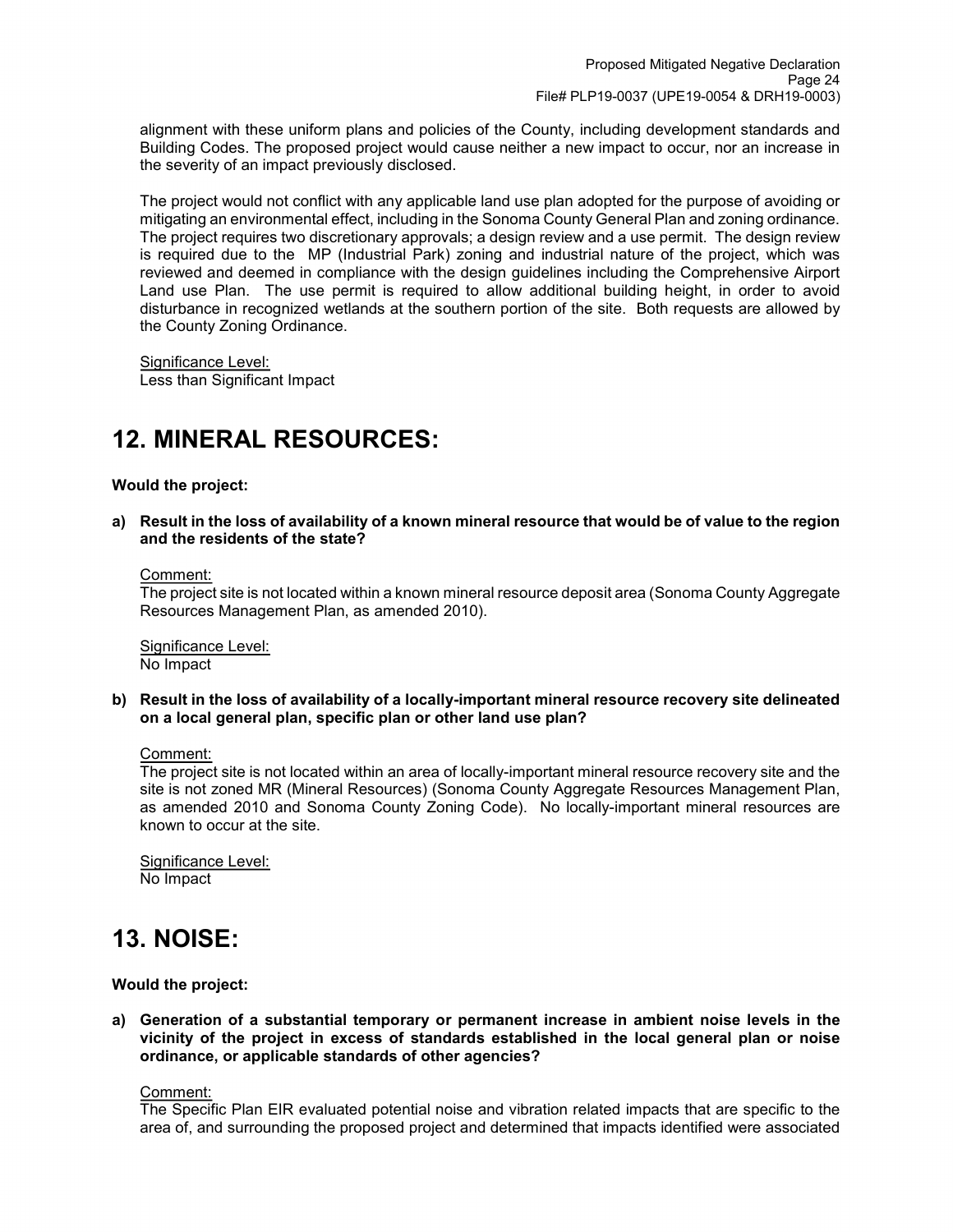alignment with these uniform plans and policies of the County, including development standards and Building Codes. The proposed project would cause neither a new impact to occur, nor an increase in the severity of an impact previously disclosed.

The project would not conflict with any applicable land use plan adopted for the purpose of avoiding or mitigating an environmental effect, including in the Sonoma County General Plan and zoning ordinance. The project requires two discretionary approvals; a design review and a use permit. The design review is required due to the MP (Industrial Park) zoning and industrial nature of the project, which was reviewed and deemed in compliance with the design guidelines including the Comprehensive Airport Land use Plan. The use permit is required to allow additional building height, in order to avoid disturbance in recognized wetlands at the southern portion of the site. Both requests are allowed by the County Zoning Ordinance.

Significance Level: Less than Significant Impact

## **12. MINERAL RESOURCES:**

**Would the project:**

**a) Result in the loss of availability of a known mineral resource that would be of value to the region and the residents of the state?**

Comment:

The project site is not located within a known mineral resource deposit area (Sonoma County Aggregate Resources Management Plan, as amended 2010).

Significance Level: No Impact

**b) Result in the loss of availability of a locally-important mineral resource recovery site delineated on a local general plan, specific plan or other land use plan?**

Comment:

The project site is not located within an area of locally-important mineral resource recovery site and the site is not zoned MR (Mineral Resources) (Sonoma County Aggregate Resources Management Plan, as amended 2010 and Sonoma County Zoning Code). No locally-important mineral resources are known to occur at the site.

Significance Level: No Impact

## **13. NOISE:**

**Would the project:**

**a) Generation of a substantial temporary or permanent increase in ambient noise levels in the vicinity of the project in excess of standards established in the local general plan or noise ordinance, or applicable standards of other agencies?**

Comment:

The Specific Plan EIR evaluated potential noise and vibration related impacts that are specific to the area of, and surrounding the proposed project and determined that impacts identified were associated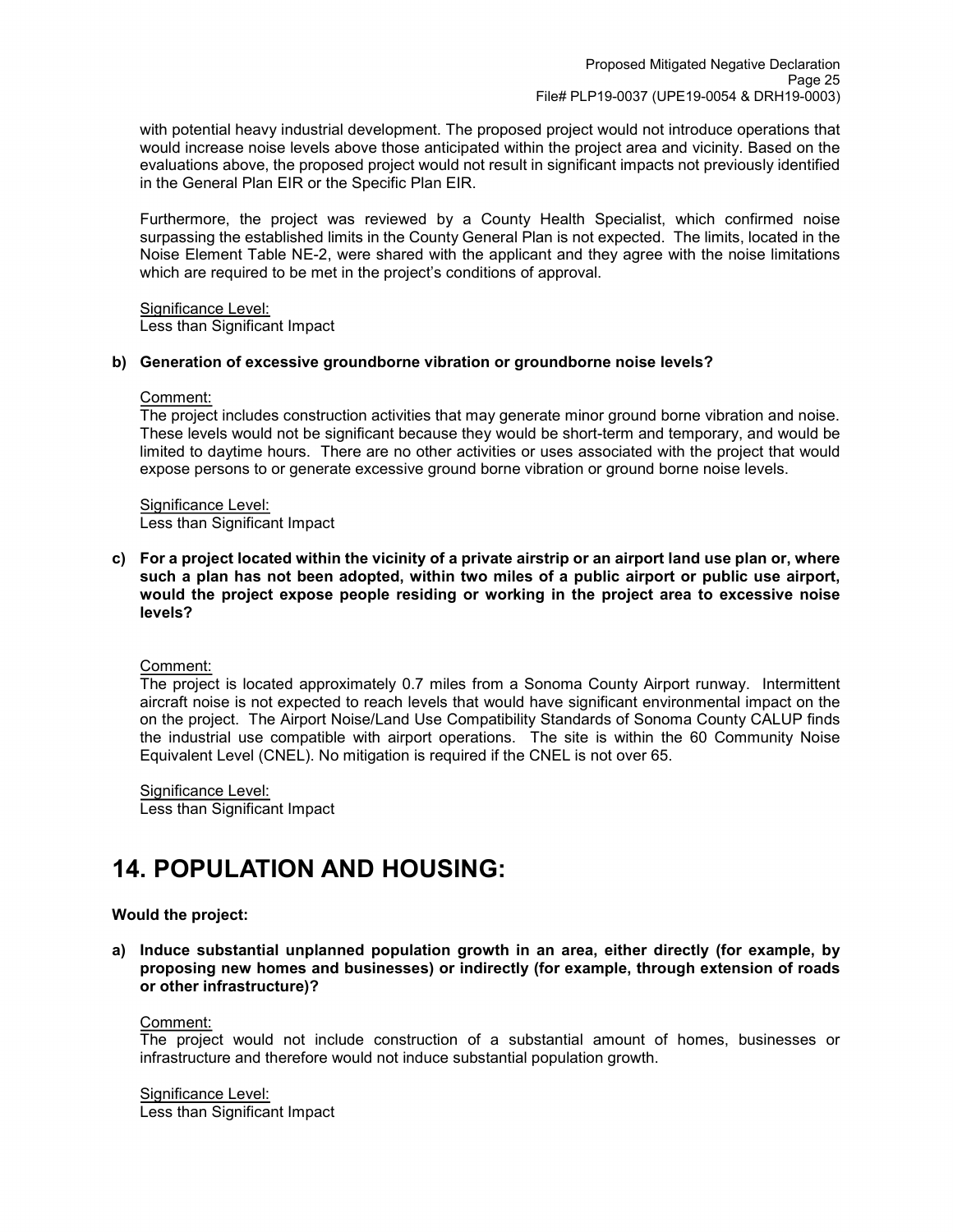with potential heavy industrial development. The proposed project would not introduce operations that would increase noise levels above those anticipated within the project area and vicinity. Based on the evaluations above, the proposed project would not result in significant impacts not previously identified in the General Plan EIR or the Specific Plan EIR.

Furthermore, the project was reviewed by a County Health Specialist, which confirmed noise surpassing the established limits in the County General Plan is not expected. The limits, located in the Noise Element Table NE-2, were shared with the applicant and they agree with the noise limitations which are required to be met in the project's conditions of approval.

### Significance Level:

Less than Significant Impact

#### **b) Generation of excessive groundborne vibration or groundborne noise levels?**

#### Comment:

The project includes construction activities that may generate minor ground borne vibration and noise. These levels would not be significant because they would be short-term and temporary, and would be limited to daytime hours. There are no other activities or uses associated with the project that would expose persons to or generate excessive ground borne vibration or ground borne noise levels.

Significance Level: Less than Significant Impact

**c) For a project located within the vicinity of a private airstrip or an airport land use plan or, where such a plan has not been adopted, within two miles of a public airport or public use airport, would the project expose people residing or working in the project area to excessive noise levels?**

## Comment:

The project is located approximately 0.7 miles from a Sonoma County Airport runway. Intermittent aircraft noise is not expected to reach levels that would have significant environmental impact on the on the project. The Airport Noise/Land Use Compatibility Standards of Sonoma County CALUP finds the industrial use compatible with airport operations. The site is within the 60 Community Noise Equivalent Level (CNEL). No mitigation is required if the CNEL is not over 65.

Significance Level: Less than Significant Impact

## **14. POPULATION AND HOUSING:**

## **Would the project:**

**a) Induce substantial unplanned population growth in an area, either directly (for example, by proposing new homes and businesses) or indirectly (for example, through extension of roads or other infrastructure)?**

#### Comment:

The project would not include construction of a substantial amount of homes, businesses or infrastructure and therefore would not induce substantial population growth.

Significance Level:

Less than Significant Impact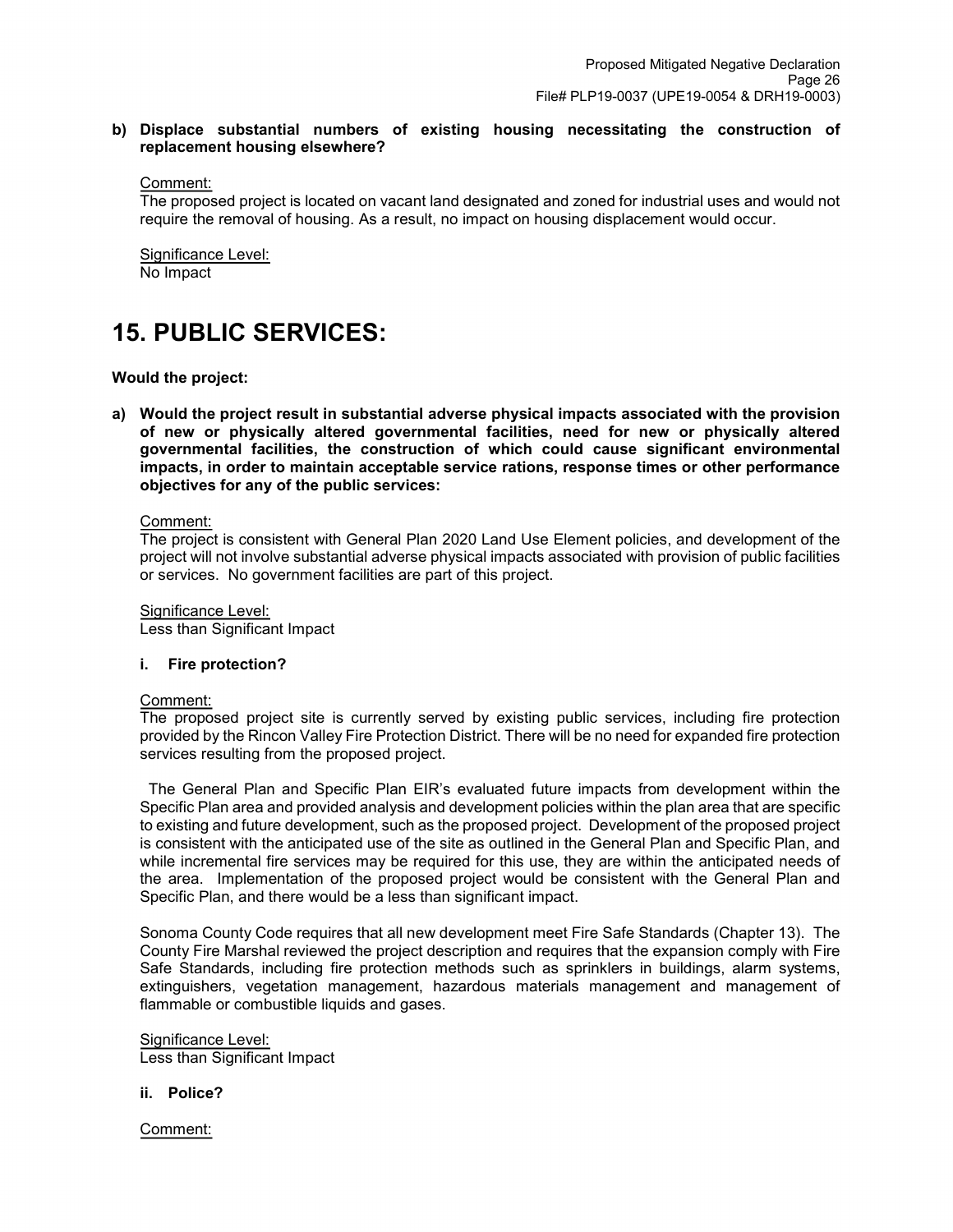### **b) Displace substantial numbers of existing housing necessitating the construction of replacement housing elsewhere?**

Comment:

The proposed project is located on vacant land designated and zoned for industrial uses and would not require the removal of housing. As a result, no impact on housing displacement would occur.

Significance Level: No Impact

## **15. PUBLIC SERVICES:**

**Would the project:**

**a) Would the project result in substantial adverse physical impacts associated with the provision of new or physically altered governmental facilities, need for new or physically altered governmental facilities, the construction of which could cause significant environmental impacts, in order to maintain acceptable service rations, response times or other performance objectives for any of the public services:**

Comment:

The project is consistent with General Plan 2020 Land Use Element policies, and development of the project will not involve substantial adverse physical impacts associated with provision of public facilities or services. No government facilities are part of this project.

Significance Level: Less than Significant Impact

#### **i. Fire protection?**

#### Comment:

The proposed project site is currently served by existing public services, including fire protection provided by the Rincon Valley Fire Protection District. There will be no need for expanded fire protection services resulting from the proposed project.

 The General Plan and Specific Plan EIR's evaluated future impacts from development within the Specific Plan area and provided analysis and development policies within the plan area that are specific to existing and future development, such as the proposed project. Development of the proposed project is consistent with the anticipated use of the site as outlined in the General Plan and Specific Plan, and while incremental fire services may be required for this use, they are within the anticipated needs of the area. Implementation of the proposed project would be consistent with the General Plan and Specific Plan, and there would be a less than significant impact.

Sonoma County Code requires that all new development meet Fire Safe Standards (Chapter 13). The County Fire Marshal reviewed the project description and requires that the expansion comply with Fire Safe Standards, including fire protection methods such as sprinklers in buildings, alarm systems, extinguishers, vegetation management, hazardous materials management and management of flammable or combustible liquids and gases.

Significance Level: Less than Significant Impact

#### **ii. Police?**

Comment: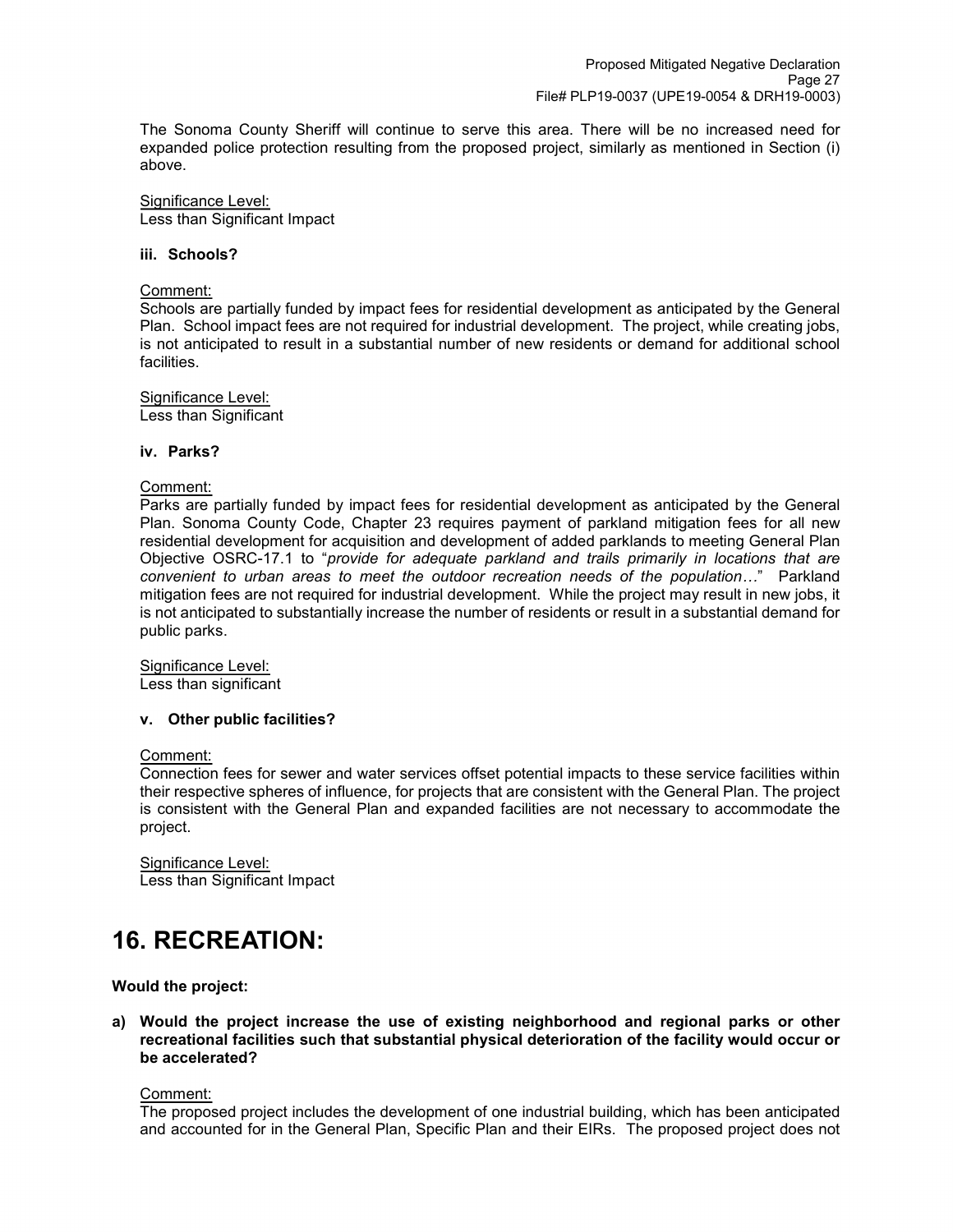The Sonoma County Sheriff will continue to serve this area. There will be no increased need for expanded police protection resulting from the proposed project, similarly as mentioned in Section (i) above.

Significance Level: Less than Significant Impact

#### **iii. Schools?**

#### Comment:

Schools are partially funded by impact fees for residential development as anticipated by the General Plan. School impact fees are not required for industrial development. The project, while creating jobs, is not anticipated to result in a substantial number of new residents or demand for additional school facilities.

## Significance Level:

Less than Significant

#### **iv. Parks?**

#### Comment:

Parks are partially funded by impact fees for residential development as anticipated by the General Plan. Sonoma County Code, Chapter 23 requires payment of parkland mitigation fees for all new residential development for acquisition and development of added parklands to meeting General Plan Objective OSRC-17.1 to "*provide for adequate parkland and trails primarily in locations that are convenient to urban areas to meet the outdoor recreation needs of the population…*" Parkland mitigation fees are not required for industrial development. While the project may result in new jobs, it is not anticipated to substantially increase the number of residents or result in a substantial demand for public parks.

Significance Level: Less than significant

#### **v. Other public facilities?**

#### Comment:

Connection fees for sewer and water services offset potential impacts to these service facilities within their respective spheres of influence, for projects that are consistent with the General Plan. The project is consistent with the General Plan and expanded facilities are not necessary to accommodate the project.

Significance Level: Less than Significant Impact

## **16. RECREATION:**

#### **Would the project:**

**a) Would the project increase the use of existing neighborhood and regional parks or other recreational facilities such that substantial physical deterioration of the facility would occur or be accelerated?**

## Comment:

The proposed project includes the development of one industrial building, which has been anticipated and accounted for in the General Plan, Specific Plan and their EIRs. The proposed project does not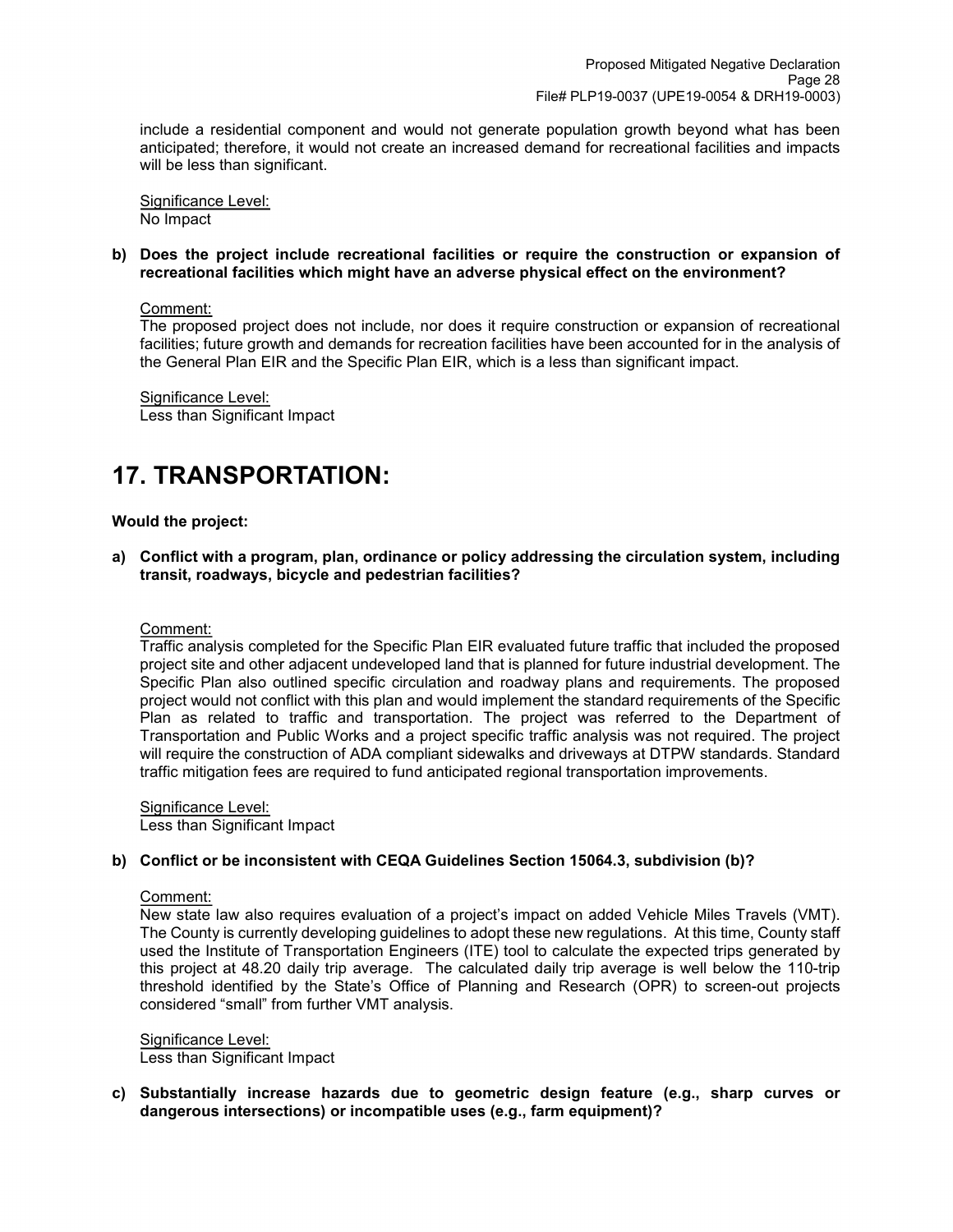include a residential component and would not generate population growth beyond what has been anticipated; therefore, it would not create an increased demand for recreational facilities and impacts will be less than significant.

Significance Level: No Impact

#### **b) Does the project include recreational facilities or require the construction or expansion of recreational facilities which might have an adverse physical effect on the environment?**

### Comment:

The proposed project does not include, nor does it require construction or expansion of recreational facilities; future growth and demands for recreation facilities have been accounted for in the analysis of the General Plan EIR and the Specific Plan EIR, which is a less than significant impact.

Significance Level: Less than Significant Impact

## **17. TRANSPORTATION:**

### **Would the project:**

**a) Conflict with a program, plan, ordinance or policy addressing the circulation system, including transit, roadways, bicycle and pedestrian facilities?**

#### Comment:

Traffic analysis completed for the Specific Plan EIR evaluated future traffic that included the proposed project site and other adjacent undeveloped land that is planned for future industrial development. The Specific Plan also outlined specific circulation and roadway plans and requirements. The proposed project would not conflict with this plan and would implement the standard requirements of the Specific Plan as related to traffic and transportation. The project was referred to the Department of Transportation and Public Works and a project specific traffic analysis was not required. The project will require the construction of ADA compliant sidewalks and driveways at DTPW standards. Standard traffic mitigation fees are required to fund anticipated regional transportation improvements.

Significance Level: Less than Significant Impact

## **b) Conflict or be inconsistent with CEQA Guidelines Section 15064.3, subdivision (b)?**

## Comment:

New state law also requires evaluation of a project's impact on added Vehicle Miles Travels (VMT). The County is currently developing guidelines to adopt these new regulations. At this time, County staff used the Institute of Transportation Engineers (ITE) tool to calculate the expected trips generated by this project at 48.20 daily trip average. The calculated daily trip average is well below the 110-trip threshold identified by the State's Office of Planning and Research (OPR) to screen-out projects considered "small" from further VMT analysis.

#### Significance Level:

Less than Significant Impact

**c) Substantially increase hazards due to geometric design feature (e.g., sharp curves or dangerous intersections) or incompatible uses (e.g., farm equipment)?**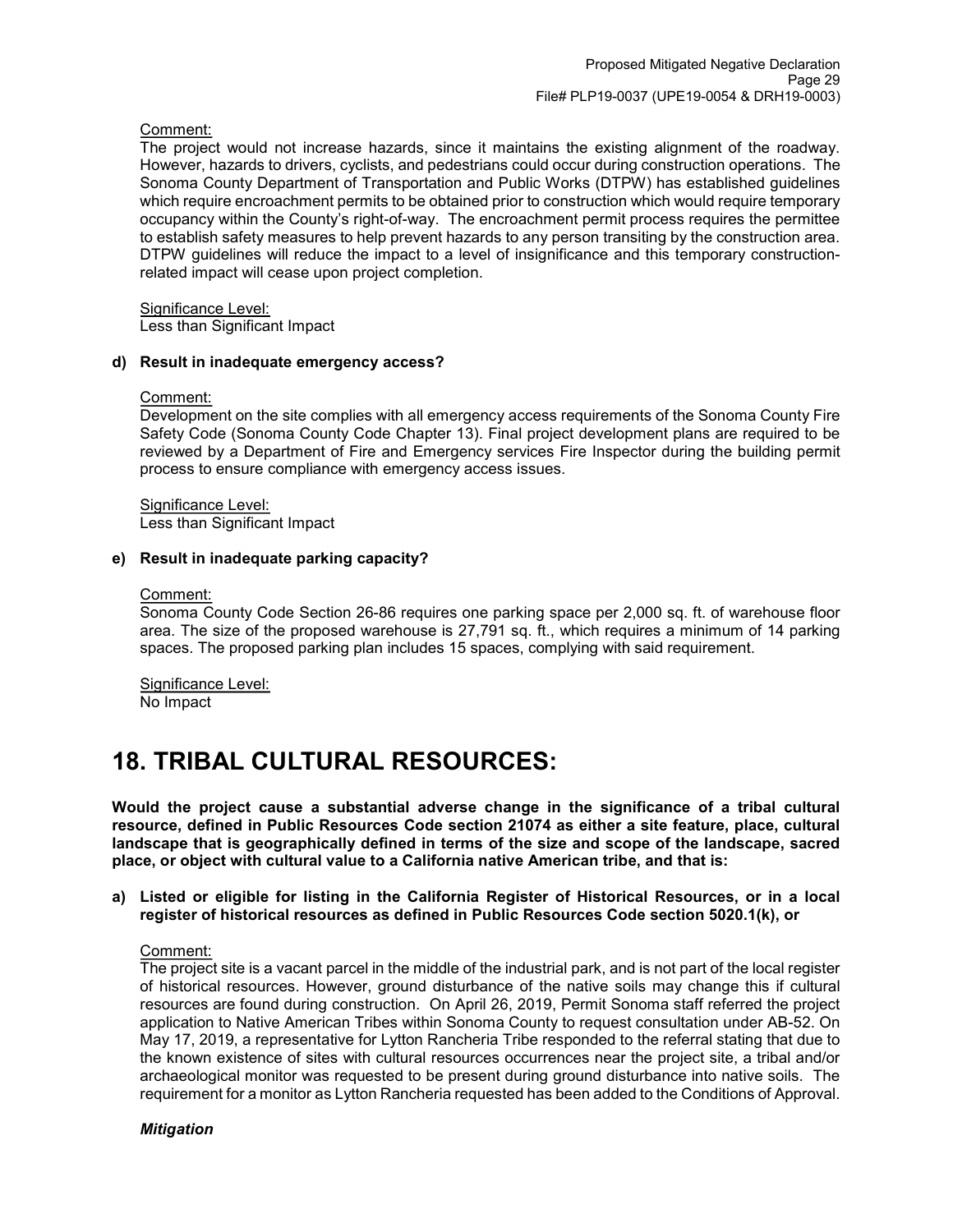### Comment:

The project would not increase hazards, since it maintains the existing alignment of the roadway. However, hazards to drivers, cyclists, and pedestrians could occur during construction operations. The Sonoma County Department of Transportation and Public Works (DTPW) has established guidelines which require encroachment permits to be obtained prior to construction which would require temporary occupancy within the County's right-of-way. The encroachment permit process requires the permittee to establish safety measures to help prevent hazards to any person transiting by the construction area. DTPW guidelines will reduce the impact to a level of insignificance and this temporary constructionrelated impact will cease upon project completion.

Significance Level:

Less than Significant Impact

#### **d) Result in inadequate emergency access?**

#### Comment:

Development on the site complies with all emergency access requirements of the Sonoma County Fire Safety Code (Sonoma County Code Chapter 13). Final project development plans are required to be reviewed by a Department of Fire and Emergency services Fire Inspector during the building permit process to ensure compliance with emergency access issues.

Significance Level: Less than Significant Impact

### **e) Result in inadequate parking capacity?**

#### Comment:

Sonoma County Code Section 26-86 requires one parking space per 2,000 sq. ft. of warehouse floor area. The size of the proposed warehouse is 27,791 sq. ft., which requires a minimum of 14 parking spaces. The proposed parking plan includes 15 spaces, complying with said requirement.

Significance Level: No Impact

## **18. TRIBAL CULTURAL RESOURCES:**

**Would the project cause a substantial adverse change in the significance of a tribal cultural resource, defined in Public Resources Code section 21074 as either a site feature, place, cultural landscape that is geographically defined in terms of the size and scope of the landscape, sacred place, or object with cultural value to a California native American tribe, and that is:** 

**a) Listed or eligible for listing in the California Register of Historical Resources, or in a local register of historical resources as defined in Public Resources Code section 5020.1(k), or**

#### Comment:

The project site is a vacant parcel in the middle of the industrial park, and is not part of the local register of historical resources. However, ground disturbance of the native soils may change this if cultural resources are found during construction. On April 26, 2019, Permit Sonoma staff referred the project application to Native American Tribes within Sonoma County to request consultation under AB-52. On May 17, 2019, a representative for Lytton Rancheria Tribe responded to the referral stating that due to the known existence of sites with cultural resources occurrences near the project site, a tribal and/or archaeological monitor was requested to be present during ground disturbance into native soils. The requirement for a monitor as Lytton Rancheria requested has been added to the Conditions of Approval.

#### *Mitigation*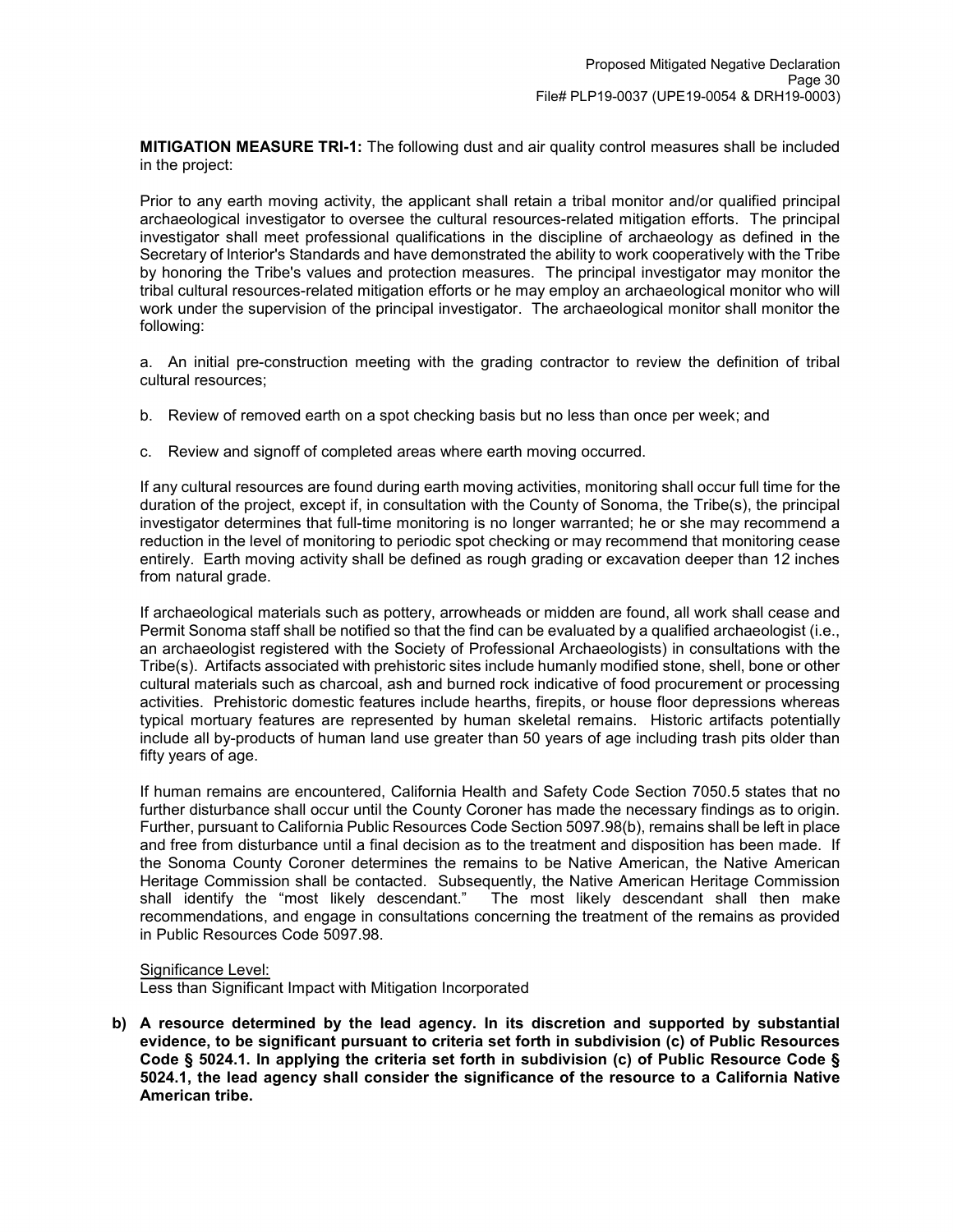**MITIGATION MEASURE TRI-1:** The following dust and air quality control measures shall be included in the project:

Prior to any earth moving activity, the applicant shall retain a tribal monitor and/or qualified principal archaeological investigator to oversee the cultural resources-related mitigation efforts. The principal investigator shall meet professional qualifications in the discipline of archaeology as defined in the Secretary of lnterior's Standards and have demonstrated the ability to work cooperatively with the Tribe by honoring the Tribe's values and protection measures. The principal investigator may monitor the tribal cultural resources-related mitigation efforts or he may employ an archaeological monitor who will work under the supervision of the principal investigator. The archaeological monitor shall monitor the following:

a. An initial pre-construction meeting with the grading contractor to review the definition of tribal cultural resources;

- b. Review of removed earth on a spot checking basis but no less than once per week; and
- c. Review and signoff of completed areas where earth moving occurred.

If any cultural resources are found during earth moving activities, monitoring shall occur full time for the duration of the project, except if, in consultation with the County of Sonoma, the Tribe(s), the principal investigator determines that full-time monitoring is no longer warranted; he or she may recommend a reduction in the level of monitoring to periodic spot checking or may recommend that monitoring cease entirely. Earth moving activity shall be defined as rough grading or excavation deeper than 12 inches from natural grade.

If archaeological materials such as pottery, arrowheads or midden are found, all work shall cease and Permit Sonoma staff shall be notified so that the find can be evaluated by a qualified archaeologist (i.e., an archaeologist registered with the Society of Professional Archaeologists) in consultations with the Tribe(s). Artifacts associated with prehistoric sites include humanly modified stone, shell, bone or other cultural materials such as charcoal, ash and burned rock indicative of food procurement or processing activities. Prehistoric domestic features include hearths, firepits, or house floor depressions whereas typical mortuary features are represented by human skeletal remains. Historic artifacts potentially include all by-products of human land use greater than 50 years of age including trash pits older than fifty years of age.

If human remains are encountered, California Health and Safety Code Section 7050.5 states that no further disturbance shall occur until the County Coroner has made the necessary findings as to origin. Further, pursuant to California Public Resources Code Section 5097.98(b), remains shall be left in place and free from disturbance until a final decision as to the treatment and disposition has been made. If the Sonoma County Coroner determines the remains to be Native American, the Native American Heritage Commission shall be contacted. Subsequently, the Native American Heritage Commission shall identify the "most likely descendant." The most likely descendant shall then make recommendations, and engage in consultations concerning the treatment of the remains as provided in Public Resources Code 5097.98.

## Significance Level:

Less than Significant Impact with Mitigation Incorporated

**b) A resource determined by the lead agency. In its discretion and supported by substantial evidence, to be significant pursuant to criteria set forth in subdivision (c) of Public Resources Code § 5024.1. In applying the criteria set forth in subdivision (c) of Public Resource Code § 5024.1, the lead agency shall consider the significance of the resource to a California Native American tribe.**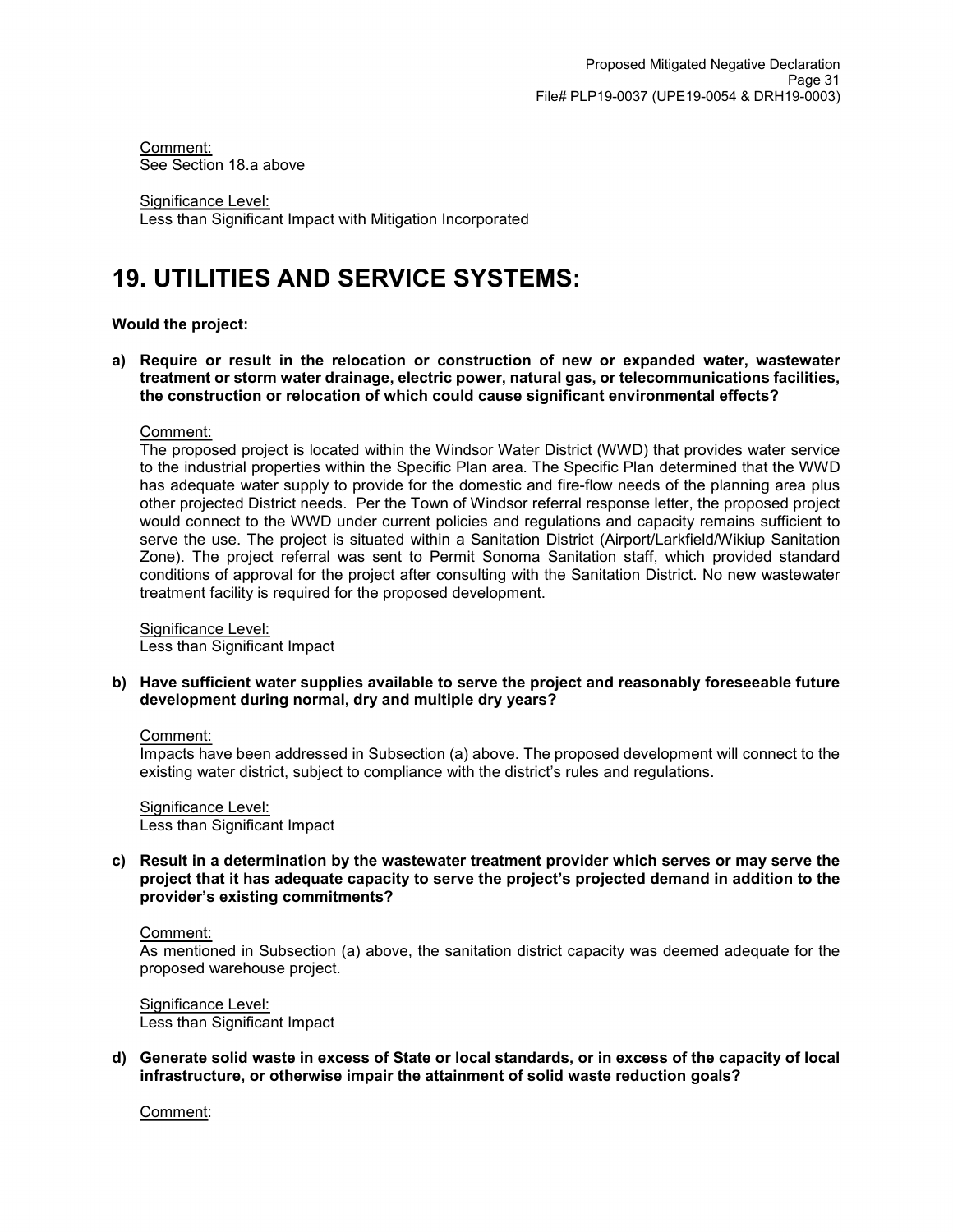Comment: See Section 18.a above

Significance Level: Less than Significant Impact with Mitigation Incorporated

## **19. UTILITIES AND SERVICE SYSTEMS:**

### **Would the project:**

**a) Require or result in the relocation or construction of new or expanded water, wastewater treatment or storm water drainage, electric power, natural gas, or telecommunications facilities, the construction or relocation of which could cause significant environmental effects?**

#### Comment:

The proposed project is located within the Windsor Water District (WWD) that provides water service to the industrial properties within the Specific Plan area. The Specific Plan determined that the WWD has adequate water supply to provide for the domestic and fire-flow needs of the planning area plus other projected District needs. Per the Town of Windsor referral response letter, the proposed project would connect to the WWD under current policies and regulations and capacity remains sufficient to serve the use. The project is situated within a Sanitation District (Airport/Larkfield/Wikiup Sanitation Zone). The project referral was sent to Permit Sonoma Sanitation staff, which provided standard conditions of approval for the project after consulting with the Sanitation District. No new wastewater treatment facility is required for the proposed development.

Significance Level: Less than Significant Impact

**b) Have sufficient water supplies available to serve the project and reasonably foreseeable future development during normal, dry and multiple dry years?**

#### Comment:

Impacts have been addressed in Subsection (a) above. The proposed development will connect to the existing water district, subject to compliance with the district's rules and regulations.

Significance Level: Less than Significant Impact

**c) Result in a determination by the wastewater treatment provider which serves or may serve the project that it has adequate capacity to serve the project's projected demand in addition to the provider's existing commitments?**

#### Comment:

As mentioned in Subsection (a) above, the sanitation district capacity was deemed adequate for the proposed warehouse project.

Significance Level: Less than Significant Impact

**d) Generate solid waste in excess of State or local standards, or in excess of the capacity of local infrastructure, or otherwise impair the attainment of solid waste reduction goals?**

Comment: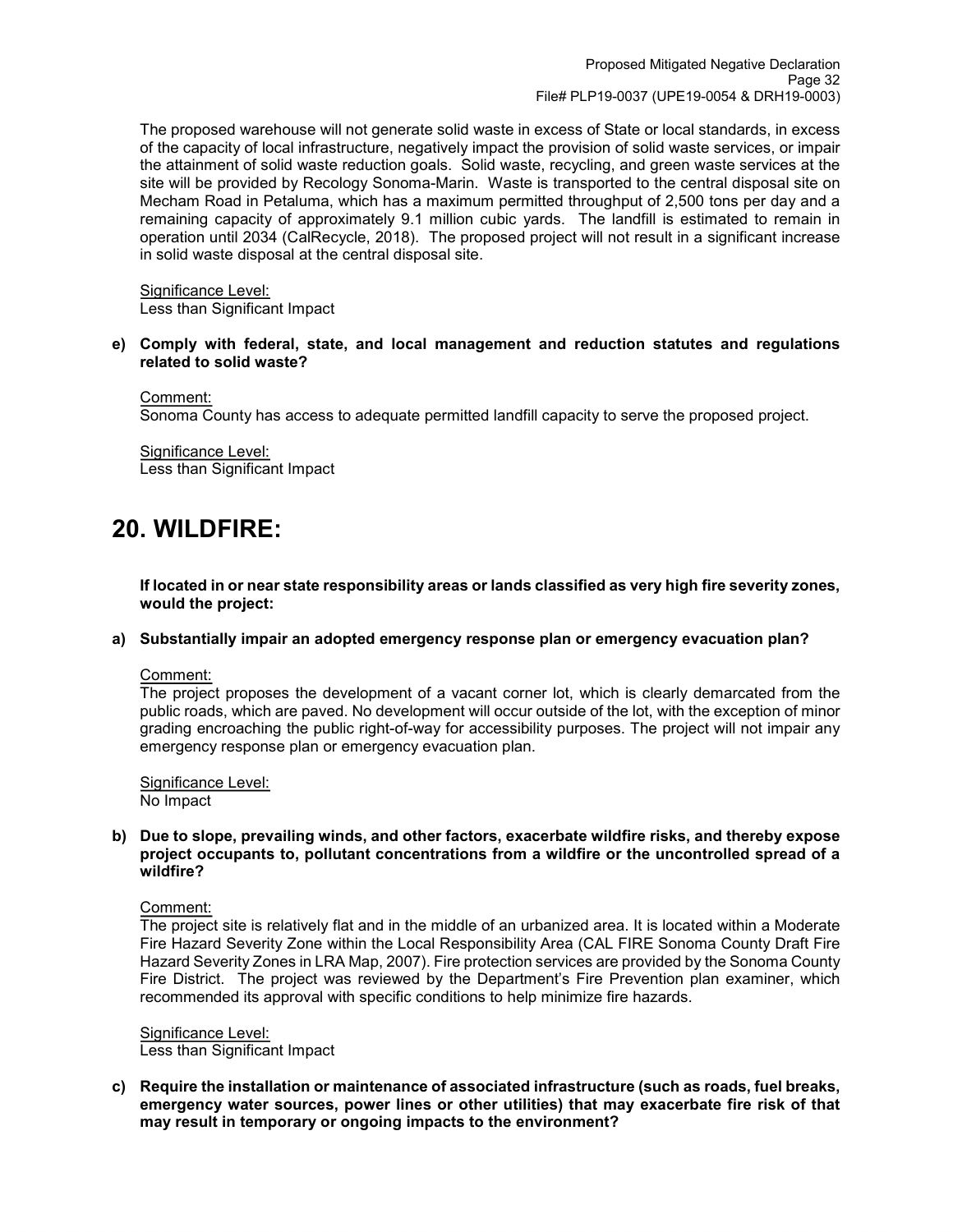The proposed warehouse will not generate solid waste in excess of State or local standards, in excess of the capacity of local infrastructure, negatively impact the provision of solid waste services, or impair the attainment of solid waste reduction goals. Solid waste, recycling, and green waste services at the site will be provided by Recology Sonoma-Marin. Waste is transported to the central disposal site on Mecham Road in Petaluma, which has a maximum permitted throughput of 2,500 tons per day and a remaining capacity of approximately 9.1 million cubic yards. The landfill is estimated to remain in operation until 2034 (CalRecycle, 2018). The proposed project will not result in a significant increase in solid waste disposal at the central disposal site.

Significance Level: Less than Significant Impact

#### **e) Comply with federal, state, and local management and reduction statutes and regulations related to solid waste?**

Comment: Sonoma County has access to adequate permitted landfill capacity to serve the proposed project.

Significance Level: Less than Significant Impact

## **20. WILDFIRE:**

**If located in or near state responsibility areas or lands classified as very high fire severity zones, would the project:**

#### **a) Substantially impair an adopted emergency response plan or emergency evacuation plan?**

Comment:

The project proposes the development of a vacant corner lot, which is clearly demarcated from the public roads, which are paved. No development will occur outside of the lot, with the exception of minor grading encroaching the public right-of-way for accessibility purposes. The project will not impair any emergency response plan or emergency evacuation plan.

Significance Level: No Impact

#### **b) Due to slope, prevailing winds, and other factors, exacerbate wildfire risks, and thereby expose project occupants to, pollutant concentrations from a wildfire or the uncontrolled spread of a wildfire?**

Comment:

The project site is relatively flat and in the middle of an urbanized area. It is located within a Moderate Fire Hazard Severity Zone within the Local Responsibility Area (CAL FIRE Sonoma County Draft Fire Hazard Severity Zones in LRA Map, 2007). Fire protection services are provided by the Sonoma County Fire District. The project was reviewed by the Department's Fire Prevention plan examiner, which recommended its approval with specific conditions to help minimize fire hazards.

#### Significance Level: Less than Significant Impact

**c) Require the installation or maintenance of associated infrastructure (such as roads, fuel breaks, emergency water sources, power lines or other utilities) that may exacerbate fire risk of that may result in temporary or ongoing impacts to the environment?**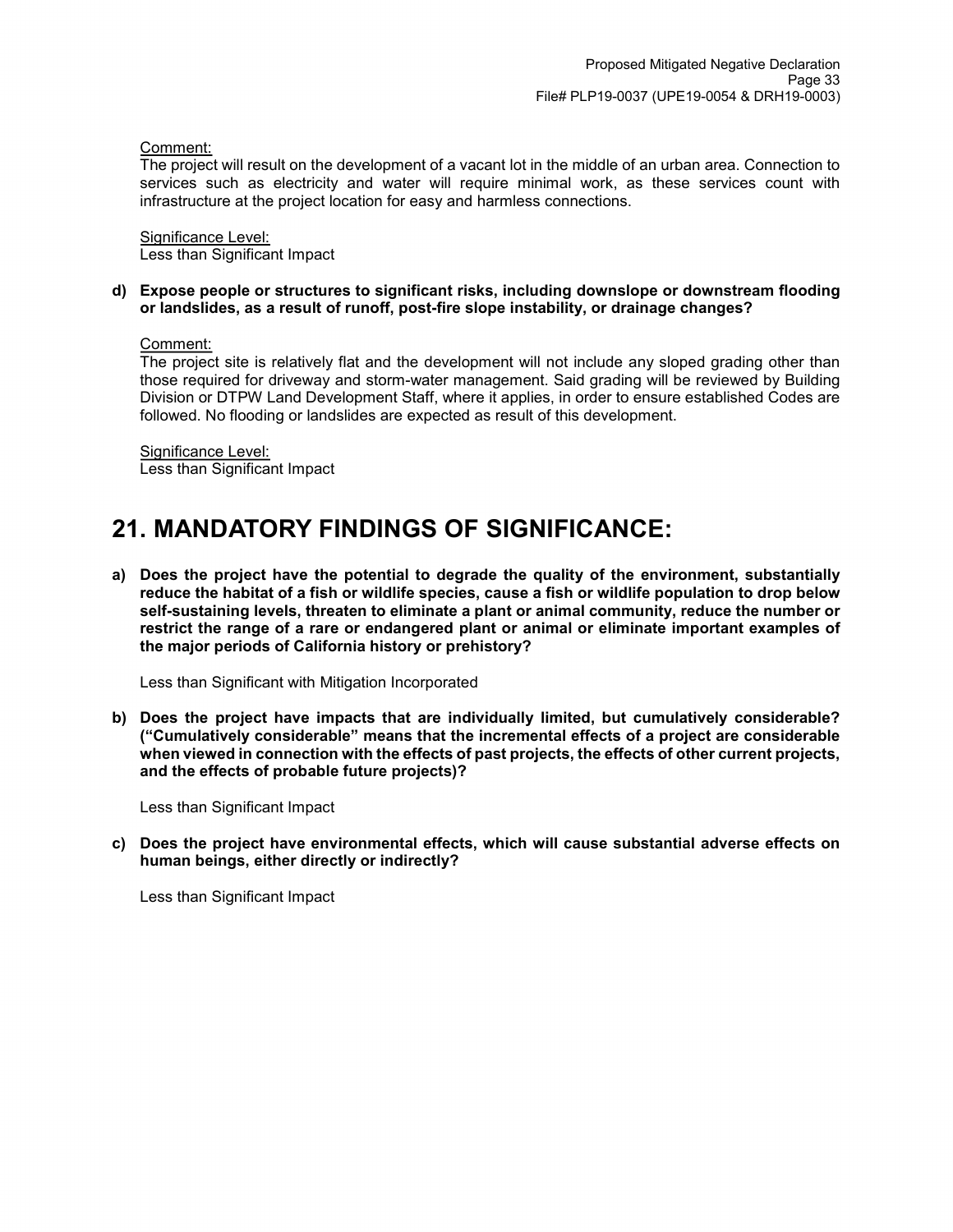Comment:

The project will result on the development of a vacant lot in the middle of an urban area. Connection to services such as electricity and water will require minimal work, as these services count with infrastructure at the project location for easy and harmless connections.

Significance Level: Less than Significant Impact

### **d) Expose people or structures to significant risks, including downslope or downstream flooding or landslides, as a result of runoff, post-fire slope instability, or drainage changes?**

Comment:

The project site is relatively flat and the development will not include any sloped grading other than those required for driveway and storm-water management. Said grading will be reviewed by Building Division or DTPW Land Development Staff, where it applies, in order to ensure established Codes are followed. No flooding or landslides are expected as result of this development.

Significance Level: Less than Significant Impact

## **21. MANDATORY FINDINGS OF SIGNIFICANCE:**

**a) Does the project have the potential to degrade the quality of the environment, substantially reduce the habitat of a fish or wildlife species, cause a fish or wildlife population to drop below self-sustaining levels, threaten to eliminate a plant or animal community, reduce the number or restrict the range of a rare or endangered plant or animal or eliminate important examples of the major periods of California history or prehistory?**

Less than Significant with Mitigation Incorporated

**b) Does the project have impacts that are individually limited, but cumulatively considerable? ("Cumulatively considerable" means that the incremental effects of a project are considerable when viewed in connection with the effects of past projects, the effects of other current projects, and the effects of probable future projects)?**

Less than Significant Impact

**c) Does the project have environmental effects, which will cause substantial adverse effects on human beings, either directly or indirectly?**

Less than Significant Impact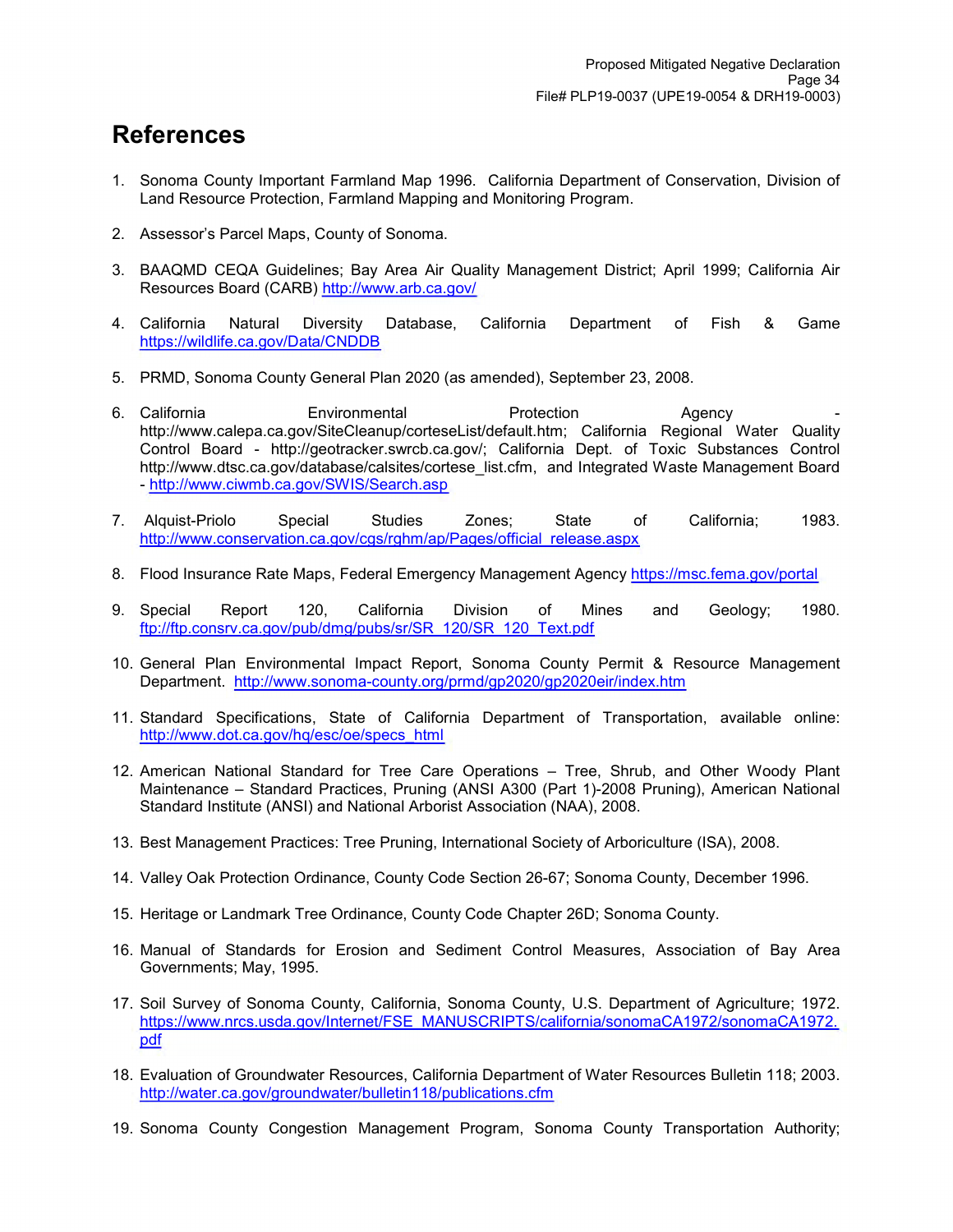## **References**

- 1. Sonoma County Important Farmland Map 1996. California Department of Conservation, Division of Land Resource Protection, Farmland Mapping and Monitoring Program.
- 2. Assessor's Parcel Maps, County of Sonoma.
- 3. BAAQMD CEQA Guidelines; Bay Area Air Quality Management District; April 1999; California Air Resources Board (CARB)<http://www.arb.ca.gov/>
- 4. California Natural Diversity Database, California Department of Fish & Game <https://wildlife.ca.gov/Data/CNDDB>
- 5. PRMD, Sonoma County General Plan 2020 (as amended), September 23, 2008.
- 6. California Environmental Protection Agency http://www.calepa.ca.gov/SiteCleanup/corteseList/default.htm; California Regional Water Quality Control Board - http://geotracker.swrcb.ca.gov/; California Dept. of Toxic Substances Control http://www.dtsc.ca.gov/database/calsites/cortese\_list.cfm, and Integrated Waste Management Board -<http://www.ciwmb.ca.gov/SWIS/Search.asp>
- 7. Alquist-Priolo Special Studies Zones; State of California; 1983. http://www.conservation.ca.gov/cgs/rghm/ap/Pages/official\_release.aspx
- 8. Flood Insurance Rate Maps, Federal Emergency Management Agency <https://msc.fema.gov/portal>
- 9. Special Report 120, California Division of Mines and Geology; 1980. [ftp://ftp.consrv.ca.gov/pub/dmg/pubs/sr/SR\\_120/SR\\_120\\_Text.pdf](ftp://ftp.consrv.ca.gov/pub/dmg/pubs/sr/SR_120/SR_120_Text.pdf)
- 10. General Plan Environmental Impact Report, Sonoma County Permit & Resource Management Department. <http://www.sonoma-county.org/prmd/gp2020/gp2020eir/index.htm>
- 11. Standard Specifications, State of California Department of Transportation, available online: [http://www.dot.ca.gov/hq/esc/oe/specs\\_html](http://www.dot.ca.gov/hq/esc/oe/specs_html)
- 12. American National Standard for Tree Care Operations Tree, Shrub, and Other Woody Plant Maintenance – Standard Practices, Pruning (ANSI A300 (Part 1)-2008 Pruning), American National Standard Institute (ANSI) and National Arborist Association (NAA), 2008.
- 13. Best Management Practices: Tree Pruning, International Society of Arboriculture (ISA), 2008.
- 14. Valley Oak Protection Ordinance, County Code Section 26-67; Sonoma County, December 1996.
- 15. Heritage or Landmark Tree Ordinance, County Code Chapter 26D; Sonoma County.
- 16. Manual of Standards for Erosion and Sediment Control Measures, Association of Bay Area Governments; May, 1995.
- 17. Soil Survey of Sonoma County, California, Sonoma County, U.S. Department of Agriculture; 1972. https://www.nrcs.usda.gov/Internet/FSE\_MANUSCRIPTS/california/sonomaCA1972/sonomaCA1972. pdf
- 18. Evaluation of Groundwater Resources, California Department of Water Resources Bulletin 118; 2003. <http://water.ca.gov/groundwater/bulletin118/publications.cfm>
- 19. Sonoma County Congestion Management Program, Sonoma County Transportation Authority;